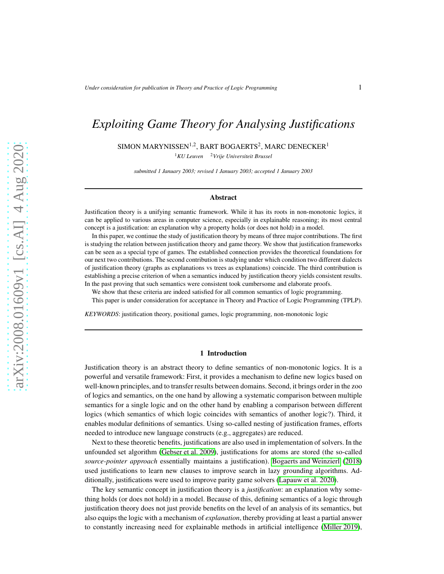# *Exploiting Game Theory for Analysing Justifications*

SIMON MARYNISSEN $^{1,2}$ , BART BOGAERTS $^{2}$ , MARC DENECKER $^{1}$ 

<sup>1</sup>*KU Leuven* <sup>2</sup>*Vrije Universiteit Brussel*

*submitted 1 January 2003; revised 1 January 2003; accepted 1 January 2003*

#### Abstract

Justification theory is a unifying semantic framework. While it has its roots in non-monotonic logics, it can be applied to various areas in computer science, especially in explainable reasoning; its most central concept is a justification: an explanation why a property holds (or does not hold) in a model.

In this paper, we continue the study of justification theory by means of three major contributions. The first is studying the relation between justification theory and game theory. We show that justification frameworks can be seen as a special type of games. The established connection provides the theoretical foundations for our next two contributions. The second contribution is studying under which condition two different dialects of justification theory (graphs as explanations vs trees as explanations) coincide. The third contribution is establishing a precise criterion of when a semantics induced by justification theory yields consistent results. In the past proving that such semantics were consistent took cumbersome and elaborate proofs.

We show that these criteria are indeed satisfied for all common semantics of logic programming.

This paper is under consideration for acceptance in Theory and Practice of Logic Programming (TPLP).

*KEYWORDS*: justification theory, positional games, logic programming, non-monotonic logic

#### 1 Introduction

Justification theory is an abstract theory to define semantics of non-monotonic logics. It is a powerful and versatile framework: First, it provides a mechanism to define new logics based on well-known principles, and to transfer results between domains. Second, it brings order in the zoo of logics and semantics, on the one hand by allowing a systematic comparison between multiple semantics for a single logic and on the other hand by enabling a comparison between different logics (which semantics of which logic coincides with semantics of another logic?). Third, it enables modular definitions of semantics. Using so-called nesting of justification frames, efforts needed to introduce new language constructs (e.g., aggregates) are reduced.

Next to these theoretic benefits, justifications are also used in implementation of solvers. In the unfounded set algorithm (Gebser et al. 2009), justifications for atoms are stored (the so-called *source-pointer approach* essentially maintains a justification). Bogaerts and Weinzierl (2018) used justifications to learn new clauses to improve search in lazy grounding algorithms. Additionally, justifications were used to improve parity game solvers (Lapauw et al. 2020).

The key semantic concept in justification theory is a *justification*: an explanation why something holds (or does not hold) in a model. Because of this, defining semantics of a logic through justification theory does not just provide benefits on the level of an analysis of its semantics, but also equips the logic with a mechanism of *explanation*, thereby providing at least a partial answer to constantly increasing need for explainable methods in artificial intelligence (Miller 2019),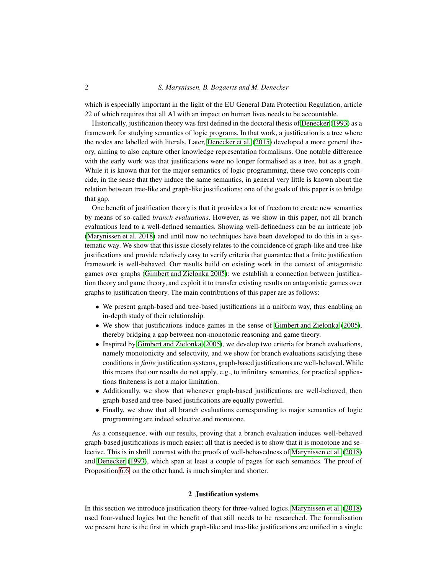which is especially important in the light of the EU General Data Protection Regulation, article 22 of which requires that all AI with an impact on human lives needs to be accountable.

Historically, justification theory was first defined in the doctoral thesis of [Denecker \(1993\)](#page-14-0) as a framework for studying semantics of logic programs. In that work, a justification is a tree where the nodes are labelled with literals. Later, Denecker et al. (2015) developed a more general theory, aiming to also capture other knowledge representation formalisms. One notable difference with the early work was that justifications were no longer formalised as a tree, but as a graph. While it is known that for the major semantics of logic programming, these two concepts coincide, in the sense that they induce the same semantics, in general very little is known about the relation between tree-like and graph-like justifications; one of the goals of this paper is to bridge that gap.

One benefit of justification theory is that it provides a lot of freedom to create new semantics by means of so-called *branch evaluations*. However, as we show in this paper, not all branch evaluations lead to a well-defined semantics. Showing well-definedness can be an intricate job (Marynissen et al. 2018) and until now no techniques have been developed to do this in a systematic way. We show that this issue closely relates to the coincidence of graph-like and tree-like justifications and provide relatively easy to verify criteria that guarantee that a finite justification framework is well-behaved. Our results build on existing work in the context of antagonistic games over graphs (Gimbert and Zielonka 2005): we establish a connection between justification theory and game theory, and exploit it to transfer existing results on antagonistic games over graphs to justification theory. The main contributions of this paper are as follows:

- We present graph-based and tree-based justifications in a uniform way, thus enabling an in-depth study of their relationship.
- We show that justifications induce games in the sense of Gimbert and Zielonka (2005), thereby bridging a gap between non-monotonic reasoning and game theory.
- Inspired by Gimbert and Zielonka (2005), we develop two criteria for branch evaluations, namely monotonicity and selectivity, and we show for branch evaluations satisfying these conditions in *finite* justification systems, graph-based justifications are well-behaved. While this means that our results do not apply, e.g., to infinitary semantics, for practical applications finiteness is not a major limitation.
- Additionally, we show that whenever graph-based justifications are well-behaved, then graph-based and tree-based justifications are equally powerful.
- Finally, we show that all branch evaluations corresponding to major semantics of logic programming are indeed selective and monotone.

As a consequence, with our results, proving that a branch evaluation induces well-behaved graph-based justifications is much easier: all that is needed is to show that it is monotone and selective. This is in shrill contrast with the proofs of well-behavedness of Marynissen et al. (2018) and [Denecker \(1993\)](#page-14-0), which span at least a couple of pages for each semantics. The proof of Proposition [6.6,](#page-12-0) on the other hand, is much simpler and shorter.

## 2 Justification systems

In this section we introduce justification theory for three-valued logics. Marynissen et al. (2018) used four-valued logics but the benefit of that still needs to be researched. The formalisation we present here is the first in which graph-like and tree-like justifications are unified in a single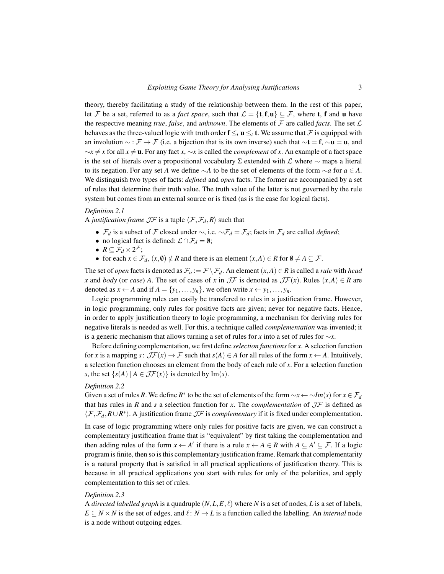theory, thereby facilitating a study of the relationship between them. In the rest of this paper, let F be a set, referred to as a *fact space*, such that  $\mathcal{L} = \{\mathbf{t}, \mathbf{f}, \mathbf{u}\} \subseteq \mathcal{F}$ , where **t**, **f** and **u** have the respective meaning *true*, *false*, and *unknown*. The elements of  $F$  are called *facts*. The set  $\mathcal{L}$ behaves as the three-valued logic with truth order  $f \leq t$  **u**  $\leq t$ . We assume that F is equipped with an involution  $\sim$  :  $\mathcal{F} \to \mathcal{F}$  (i.e. a bijection that is its own inverse) such that  $\sim$ t = f,  $\sim$ u = u, and  $\sim x \neq x$  for all  $x \neq u$ . For any fact *x*,  $\sim x$  is called the *complement* of *x*. An example of a fact space is the set of literals over a propositional vocabulary  $\Sigma$  extended with  $\mathcal L$  where  $\sim$  maps a literal to its negation. For any set *A* we define ∼*A* to be the set of elements of the form ∼*a* for *a* ∈ *A*. We distinguish two types of facts: *defined* and *open* facts. The former are accompanied by a set of rules that determine their truth value. The truth value of the latter is not governed by the rule system but comes from an external source or is fixed (as is the case for logical facts).

#### *Definition 2.1*

A *justification frame JF* is a tuple  $\langle F, F_d, R \rangle$  such that

- $\mathcal{F}_d$  is a subset of  $\mathcal F$  closed under  $\sim$ , i.e.  $\sim \mathcal{F}_d = \mathcal{F}_d$ ; facts in  $\mathcal F_d$  are called *defined*;
- no logical fact is defined:  $\mathcal{L} \cap \mathcal{F}_d = \emptyset$ ;
- $R \subseteq \mathcal{F}_d \times 2^{\mathcal{F}}$ ;
- for each  $x \in \mathcal{F}_d$ ,  $(x, \emptyset) \notin R$  and there is an element  $(x, A) \in R$  for  $\emptyset \neq A \subseteq \mathcal{F}$ .

The set of *open* facts is denoted as  $\mathcal{F}_o := \mathcal{F} \setminus \mathcal{F}_d$ . An element  $(x, A) \in R$  is called a *rule* with *head x* and *body* (or *case*) *A*. The set of cases of *x* in  $J\mathcal{F}$  is denoted as  $J\mathcal{F}(x)$ . Rules  $(x, A) \in R$  are denoted as  $x \leftarrow A$  and if  $A = \{y_1, \ldots, y_n\}$ , we often write  $x \leftarrow y_1, \ldots, y_n$ .

Logic programming rules can easily be transfered to rules in a justification frame. However, in logic programming, only rules for positive facts are given; never for negative facts. Hence, in order to apply justification theory to logic programming, a mechanism for deriving rules for negative literals is needed as well. For this, a technique called *complementation* was invented; it is a generic mechanism that allows turning a set of rules for *x* into a set of rules for ∼*x*.

Before defining complementation, we first define *selection functions*for *x*. A selection function for *x* is a mapping *s*:  $\mathcal{JF}(x) \to \mathcal{F}$  such that  $s(A) \in A$  for all rules of the form  $x \leftarrow A$ . Intuitively, a selection function chooses an element from the body of each rule of *x*. For a selection function *s*, the set  $\{s(A) | A \in \mathcal{JF}(x)\}$  is denoted by Im(*s*).

#### *Definition 2.2*

Given a set of rules *R*. We define  $R^*$  to be the set of elements of the form  $\sim x \leftarrow \sim Im(s)$  for  $x \in \mathcal{F}_d$ that has rules in *R* and *s* a selection function for *x*. The *complementation* of  $J\mathcal{F}$  is defined as hF,F*d*,*R*∪*R* ∗ i. A justification frame JF is *complementary* if it is fixed under complementation.

In case of logic programming where only rules for positive facts are given, we can construct a complementary justification frame that is "equivalent" by first taking the complementation and then adding rules of the form  $x \leftarrow A'$  if there is a rule  $x \leftarrow A \in R$  with  $A \subseteq A' \subseteq \mathcal{F}$ . If a logic program is finite, then so is this complementary justification frame. Remark that complementarity is a natural property that is satisfied in all practical applications of justification theory. This is because in all practical applications you start with rules for only of the polarities, and apply complementation to this set of rules.

#### *Definition 2.3*

A *directed labelled graph* is a quadruple  $(N, L, E, \ell)$  where N is a set of nodes, L is a set of labels,  $E \subseteq N \times N$  is the set of edges, and  $\ell: N \to L$  is a function called the labelling. An *internal* node is a node without outgoing edges.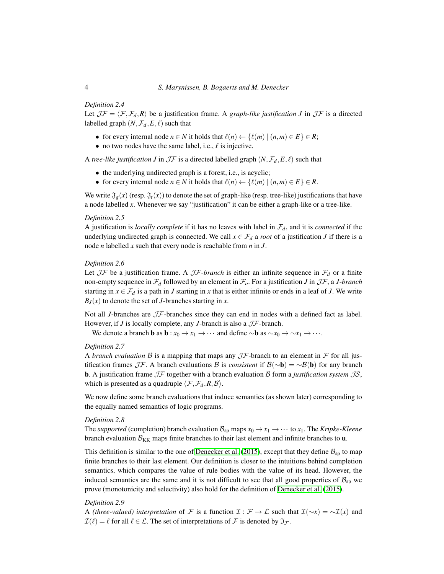## *Definition 2.4*

Let  $J\mathcal{F} = \langle \mathcal{F}, \mathcal{F}_d, R \rangle$  be a justification frame. A *graph-like justification J* in  $J\mathcal{F}$  is a directed labelled graph  $(N, \mathcal{F}_d, E, \ell)$  such that

- for every internal node  $n \in N$  it holds that  $\ell(n) \leftarrow {\ell(m) | (n,m) \in E} \in R$ ;
- no two nodes have the same label, i.e.,  $\ell$  is injective.

A *tree-like justification* J in  $J\mathcal{F}$  is a directed labelled graph  $(N, \mathcal{F}_d, E, \ell)$  such that

- the underlying undirected graph is a forest, i.e., is acyclic;
- for every internal node  $n \in N$  it holds that  $\ell(n) \leftarrow {\ell(m) | (n,m) \in E} \in R$ .

We write  $\mathfrak{J}_g(x)$  (resp.  $\mathfrak{J}_t(x)$ ) to denote the set of graph-like (resp. tree-like) justifications that have a node labelled *x*. Whenever we say "justification" it can be either a graph-like or a tree-like.

#### *Definition 2.5*

A justification is *locally complete* if it has no leaves with label in  $\mathcal{F}_d$ , and it is *connected* if the underlying undirected graph is connected. We call  $x \in \mathcal{F}_d$  a *root* of a justification *J* if there is a node *n* labelled *x* such that every node is reachable from *n* in *J*.

#### *Definition 2.6*

Let  $J\mathcal{F}$  be a justification frame. A  $J\mathcal{F}$ -*branch* is either an infinite sequence in  $\mathcal{F}_d$  or a finite non-empty sequence in  $\mathcal{F}_d$  followed by an element in  $\mathcal{F}_o$ . For a justification *J* in  $\mathcal{J}\mathcal{F}$ , a *J*-*branch* starting in  $x \in \mathcal{F}_d$  is a path in *J* starting in *x* that is either infinite or ends in a leaf of *J*. We write  $B_J(x)$  to denote the set of *J*-branches starting in *x*.

Not all *J*-branches are  $J\mathcal{F}$ -branches since they can end in nodes with a defined fact as label. However, if *J* is locally complete, any *J*-branch is also a  $\mathcal{J}F$ -branch.

We denote a branch **b** as  $\mathbf{b}$  :  $x_0 \to x_1 \to \cdots$  and define  $\sim \mathbf{b}$  as  $\sim x_0 \to \sim x_1 \to \cdots$ .

### *Definition 2.7*

A *branch evaluation* B is a mapping that maps any  $J\mathcal{F}$ -branch to an element in  $\mathcal F$  for all justification frames JF. A branch evaluations B is *consistent* if  $\mathcal{B}(\sim \mathbf{b}) = \sim \mathcal{B}(\mathbf{b})$  for any branch **b.** A justification frame  $J\mathcal{F}$  together with a branch evaluation B form a *justification system*  $JS$ , which is presented as a quadruple  $\langle F, F_d, R, B \rangle$ .

We now define some branch evaluations that induce semantics (as shown later) corresponding to the equally named semantics of logic programs.

#### *Definition 2.8*

The *supported* (completion) branch evaluation  $B_{\rm sp}$  maps  $x_0 \rightarrow x_1 \rightarrow \cdots$  to  $x_1$ . The *Kripke-Kleene* branch evaluation  $\mathcal{B}_{KK}$  maps finite branches to their last element and infinite branches to **u**.

This definition is similar to the one of Denecker et al. (2015), except that they define  $B_{\rm SD}$  to map finite branches to their last element. Our definition is closer to the intuitions behind completion semantics, which compares the value of rule bodies with the value of its head. However, the induced semantics are the same and it is not difficult to see that all good properties of  $\mathcal{B}_{\text{sp}}$  we prove (monotonicity and selectivity) also hold for the definition of Denecker et al. (2015).

#### *Definition 2.9*

A *(three-valued) interpretation* of F is a function  $\mathcal{I}: \mathcal{F} \to \mathcal{L}$  such that  $\mathcal{I}(\sim x) = \sim \mathcal{I}(x)$  and  $\mathcal{I}(\ell) = \ell$  for all  $\ell \in \mathcal{L}$ . The set of interpretations of F is denoted by  $\mathfrak{I}_{\mathcal{F}}$ .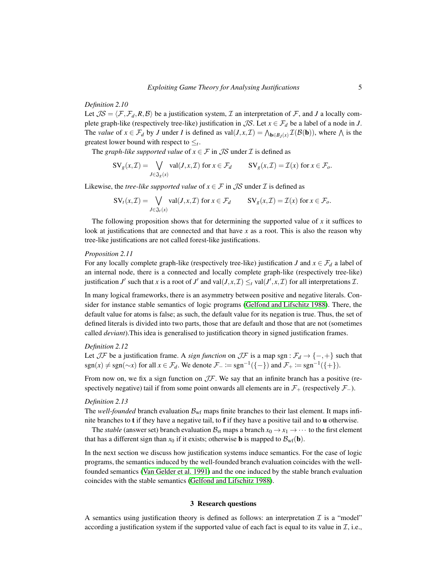## *Definition 2.10*

Let  $J\mathcal{S} = \langle \mathcal{F}, \mathcal{F}_d, R, \mathcal{B} \rangle$  be a justification system, I an interpretation of F, and *J* a locally complete graph-like (respectively tree-like) justification in  $\mathcal{IS}$ . Let  $x \in \mathcal{F}_d$  be a label of a node in *J*. The *value* of  $x \in \mathcal{F}_d$  by *J* under *I* is defined as  $val(J, x, \mathcal{I}) = \bigwedge_{\mathbf{b} \in B_J(x)} \mathcal{I}(\mathcal{B}(\mathbf{b}))$ , where  $\bigwedge$  is the greatest lower bound with respect to  $\leq_t$ .

The *graph-like supported value* of  $x \in \mathcal{F}$  in JS under *I* is defined as

$$
SV_g(x,\mathcal{I}) = \bigvee_{J \in \mathfrak{J}_g(x)} \operatorname{val}(J,x,\mathcal{I}) \text{ for } x \in \mathcal{F}_d \qquad SV_g(x,\mathcal{I}) = \mathcal{I}(x) \text{ for } x \in \mathcal{F}_o.
$$

Likewise, the *tree-like supported value* of  $x \in \mathcal{F}$  in  $\mathcal{J}\mathcal{S}$  under  $\mathcal{I}$  is defined as

$$
SV_t(x,\mathcal{I}) = \bigvee_{J \in \mathfrak{J}_t(x)} \operatorname{val}(J,x,\mathcal{I}) \text{ for } x \in \mathcal{F}_d \qquad SV_g(x,\mathcal{I}) = \mathcal{I}(x) \text{ for } x \in \mathcal{F}_o.
$$

The following proposition shows that for determining the supported value of *x* it suffices to look at justifications that are connected and that have *x* as a root. This is also the reason why tree-like justifications are not called forest-like justifications.

#### <span id="page-4-0"></span>*Proposition 2.11*

For any locally complete graph-like (respectively tree-like) justification *J* and  $x \in \mathcal{F}_d$  a label of an internal node, there is a connected and locally complete graph-like (respectively tree-like) justification *J'* such that *x* is a root of *J'* and val $(J, x, \mathcal{I}) \leq_t \text{val}(J', x, \mathcal{I})$  for all interpretations  $\mathcal{I}$ .

In many logical frameworks, there is an asymmetry between positive and negative literals. Consider for instance stable semantics of logic programs (Gelfond and Lifschitz 1988). There, the default value for atoms is false; as such, the default value for its negation is true. Thus, the set of defined literals is divided into two parts, those that are default and those that are not (sometimes called *deviant*).This idea is generalised to justification theory in signed justification frames.

### *Definition 2.12*

Let  $J\mathcal{F}$  be a justification frame. A *sign function* on  $J\mathcal{F}$  is a map sgn :  $\mathcal{F}_d \to \{-, +\}$  such that  $sgn(x) \neq sgn(\sim x)$  for all  $x \in \mathcal{F}_d$ . We denote  $\mathcal{F}_- \coloneqq sgn^{-1}(\{-\})$  and  $\mathcal{F}_+ \coloneqq sgn^{-1}(\{+\})$ .

From now on, we fix a sign function on  $J\mathcal{F}$ . We say that an infinite branch has a positive (respectively negative) tail if from some point onwards all elements are in  $\mathcal{F}_+$  (respectively  $\mathcal{F}_-$ ).

## *Definition 2.13*

The *well-founded* branch evaluation  $B_{\rm wf}$  maps finite branches to their last element. It maps infinite branches to t if they have a negative tail, to f if they have a positive tail and to u otherwise.

The *stable* (answer set) branch evaluation  $B_{st}$  maps a branch  $x_0 \to x_1 \to \cdots$  to the first element that has a different sign than  $x_0$  if it exists; otherwise **b** is mapped to  $B_{\rm wf}(\mathbf{b})$ .

In the next section we discuss how justification systems induce semantics. For the case of logic programs, the semantics induced by the well-founded branch evaluation coincides with the wellfounded semantics [\(Van Gelder et al. 1991\)](#page-14-1) and the one induced by the stable branch evaluation coincides with the stable semantics (Gelfond and Lifschitz 1988).

#### 3 Research questions

A semantics using justification theory is defined as follows: an interpretation  $\mathcal I$  is a "model" according a justification system if the supported value of each fact is equal to its value in  $\mathcal{I}$ , i.e.,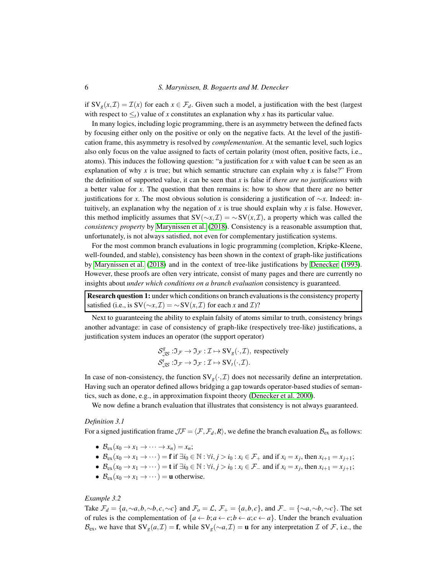if  $SV_g(x, \mathcal{I}) = \mathcal{I}(x)$  for each  $x \in \mathcal{F}_d$ . Given such a model, a justification with the best (largest with respect to  $\leq_t$ ) value of *x* constitutes an explanation why *x* has its particular value.

In many logics, including logic programming, there is an asymmetry between the defined facts by focusing either only on the positive or only on the negative facts. At the level of the justification frame, this asymmetry is resolved by *complementation*. At the semantic level, such logics also only focus on the value assigned to facts of certain polarity (most often, positive facts, i.e., atoms). This induces the following question: "a justification for  $x$  with value  $t$  can be seen as an explanation of why  $x$  is true; but which semantic structure can explain why  $x$  is false?" From the definition of supported value, it can be seen that *x* is false if *there are no justifications* with a better value for *x*. The question that then remains is: how to show that there are no better justifications for *x*. The most obvious solution is considering a justification of ∼*x*. Indeed: intuitively, an explanation why the negation of  $x$  is true should explain why  $x$  is false. However, this method implicitly assumes that  $SV(\sim x,\mathcal{I}) = \sim SV(x,\mathcal{I})$ , a property which was called the *consistency property* by Marynissen et al. (2018). Consistency is a reasonable assumption that, unfortunately, is not always satisfied, not even for complementary justification systems.

For the most common branch evaluations in logic programming (completion, Kripke-Kleene, well-founded, and stable), consistency has been shown in the context of graph-like justifications by Marynissen et al. (2018) and in the context of tree-like justifications by [Denecker](#page-14-0) [\(1993\)](#page-14-0). However, these proofs are often very intricate, consist of many pages and there are currently no insights about *under which conditions on a branch evaluation* consistency is guaranteed.

**Research question 1:** under which conditions on branch evaluations is the consistency property satisfied (i.e., is  $SV(\sim x, \mathcal{I}) = \sim SV(x, \mathcal{I})$  for each *x* and  $\mathcal{I}$ )?

Next to guaranteeing the ability to explain falsity of atoms similar to truth, consistency brings another advantage: in case of consistency of graph-like (respectively tree-like) justifications, a justification system induces an operator (the support operator)

$$
\mathcal{S}_{\mathcal{J}\mathcal{S}}^g : \Im_{\mathcal{F}} \to \Im_{\mathcal{F}} : \mathcal{I} \mapsto \mathrm{SV}_g(\cdot, \mathcal{I}), \text{ respectively}
$$
  

$$
\mathcal{S}_{\mathcal{J}\mathcal{S}}^t : \Im_{\mathcal{F}} \to \Im_{\mathcal{F}} : \mathcal{I} \mapsto \mathrm{SV}_t(\cdot, \mathcal{I}).
$$

In case of non-consistency, the function  $SV_g(\cdot, \mathcal{I})$  does not necessarily define an interpretation. Having such an operator defined allows bridging a gap towards operator-based studies of semantics, such as done, e.g., in approximation fixpoint theory [\(Denecker et al. 2000\)](#page-14-2).

<span id="page-5-0"></span>We now define a branch evaluation that illustrates that consistency is not always guaranteed.

*Definition 3.1*

For a signed justification frame  $J\mathcal{F} = \langle \mathcal{F}, \mathcal{F}_d, R \rangle$ , we define the branch evaluation  $\mathcal{B}_{ex}$  as follows:

- $\mathcal{B}_{\text{ex}}(x_0 \to x_1 \to \cdots \to x_n) = x_n;$
- Bex(*x*<sup>0</sup> → *x*<sup>1</sup> → ···) = f if ∃*i*<sup>0</sup> ∈ N : ∀*i*, *j* > *i*<sup>0</sup> : *x<sup>i</sup>* ∈ F<sup>+</sup> and if *x<sup>i</sup>* = *x<sup>j</sup>* , then *xi*+<sup>1</sup> = *xj*+1;
- Bex(*x*<sup>0</sup> → *x*<sup>1</sup> → ···) = t if ∃*i*<sup>0</sup> ∈ N : ∀*i*, *j* > *i*<sup>0</sup> : *x<sup>i</sup>* ∈ F<sup>−</sup> and if *x<sup>i</sup>* = *x<sup>j</sup>* , then *xi*+<sup>1</sup> = *xj*+1;
- <span id="page-5-1"></span>•  $\mathcal{B}_{\text{ex}}(x_0 \to x_1 \to \cdots) = \mathbf{u}$  otherwise.

### *Example 3.2*

Take  $\mathcal{F}_d = \{a, \sim a, b, \sim b, c, \sim c\}$  and  $\mathcal{F}_o = \mathcal{L}, \mathcal{F}_+ = \{a, b, c\}$ , and  $\mathcal{F}_- = \{\sim a, \sim b, \sim c\}$ . The set of rules is the complementation of  ${a \leftarrow b; a \leftarrow c; b \leftarrow a; c \leftarrow a}$ . Under the branch evaluation  $B_{ex}$ , we have that  $SV_g(a,\mathcal{I}) = \mathbf{f}$ , while  $SV_g(\sim a,\mathcal{I}) = \mathbf{u}$  for any interpretation  $\mathcal{I}$  of  $\mathcal{F}$ , i.e., the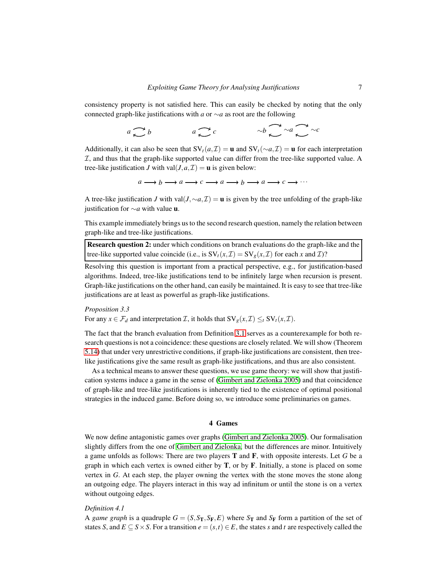consistency property is not satisfied here. This can easily be checked by noting that the only connected graph-like justifications with *a* or ∼*a* as root are the following

*a* <u>c</u> *b a* <del>c</del> *c* ∼*b* ∼*a* ∼*a* ∼*c* ∼*c* 

Additionally, it can also be seen that  $SV_t(a,\mathcal{I}) = \mathbf{u}$  and  $SV_t(\sim a,\mathcal{I}) = \mathbf{u}$  for each interpretation  $I$ , and thus that the graph-like supported value can differ from the tree-like supported value. A tree-like justification *J* with val $(J, a, \mathcal{I}) = \mathbf{u}$  is given below:

$$
a \longrightarrow b \longrightarrow a \longrightarrow c \longrightarrow a \longrightarrow b \longrightarrow a \longrightarrow c \longrightarrow \cdots
$$

A tree-like justification *J* with val(*J*,∼*a*, $\mathcal{I}$ ) = **u** is given by the tree unfolding of the graph-like justification for ∼*a* with value u.

This example immediately brings us to the second research question, namely the relation between graph-like and tree-like justifications.

Research question 2: under which conditions on branch evaluations do the graph-like and the tree-like supported value coincide (i.e., is  $SV_t(x, \mathcal{I}) = SV_g(x, \mathcal{I})$  for each *x* and  $\mathcal{I}$ )?

Resolving this question is important from a practical perspective, e.g., for justification-based algorithms. Indeed, tree-like justifications tend to be infinitely large when recursion is present. Graph-like justifications on the other hand, can easily be maintained. It is easy to see that tree-like justifications are at least as powerful as graph-like justifications.

#### *Proposition 3.3*

For any  $x \in \mathcal{F}_d$  and interpretation  $\mathcal{I}$ , it holds that  $SV_g(x, \mathcal{I}) \leq_t SV_t(x, \mathcal{I})$ .

The fact that the branch evaluation from Definition [3.1](#page-5-0) serves as a counterexample for both research questions is not a coincidence: these questions are closely related. We will show (Theorem [5.14\)](#page-10-0) that under very unrestrictive conditions, if graph-like justifications are consistent, then treelike justifications give the same result as graph-like justifications, and thus are also consistent.

As a technical means to answer these questions, we use game theory: we will show that justification systems induce a game in the sense of (Gimbert and Zielonka 2005) and that coincidence of graph-like and tree-like justifications is inherently tied to the existence of optimal positional strategies in the induced game. Before doing so, we introduce some preliminaries on games.

## <span id="page-6-0"></span>4 Games

We now define antagonistic games over graphs (Gimbert and Zielonka 2005). Our formalisation slightly differs from the one of Gimbert and Zielonka, but the differences are minor. Intuitively a game unfolds as follows: There are two players T and F, with opposite interests. Let *G* be a graph in which each vertex is owned either by  $T$ , or by  $F$ . Initially, a stone is placed on some vertex in *G*. At each step, the player owning the vertex with the stone moves the stone along an outgoing edge. The players interact in this way ad infinitum or until the stone is on a vertex without outgoing edges.

#### *Definition 4.1*

A *game graph* is a quadruple  $G = (S, S_T, S_F, E)$  where  $S_T$  and  $S_F$  form a partition of the set of states *S*, and  $E \subseteq S \times S$ . For a transition  $e = (s,t) \in E$ , the states *s* and *t* are respectively called the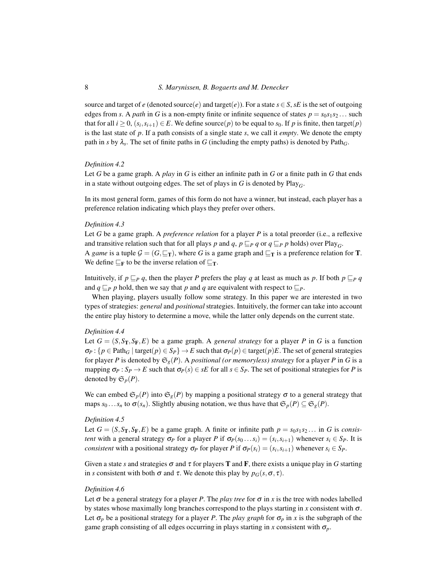source and target of *e* (denoted source(*e*) and target(*e*)). For a state  $s \in S$ , *sE* is the set of outgoing edges from *s*. A *path* in *G* is a non-empty finite or infinite sequence of states  $p = s_0 s_1 s_2 ...$  such that for all  $i \geq 0$ ,  $(s_i, s_{i+1}) \in E$ . We define source(*p*) to be equal to  $s_0$ . If *p* is finite, then target(*p*) is the last state of *p*. If a path consists of a single state *s*, we call it *empty*. We denote the empty path in *s* by <sup>λ</sup>*<sup>s</sup>* . The set of finite paths in *G* (including the empty paths) is denoted by Path*G*.

## *Definition 4.2*

Let *G* be a game graph. A *play* in *G* is either an infinite path in *G* or a finite path in *G* that ends in a state without outgoing edges. The set of plays in *G* is denoted by Play*G*.

In its most general form, games of this form do not have a winner, but instead, each player has a preference relation indicating which plays they prefer over others.

### *Definition 4.3*

Let *G* be a game graph. A *preference relation* for a player *P* is a total preorder (i.e., a reflexive and transitive relation such that for all plays *p* and *q*,  $p \sqsubseteq_{P} q$  or  $q \sqsubseteq_{P} p$  holds) over Play<sub>*G*</sub>. A *game* is a tuple  $G = (G, \subseteq_T)$ , where G is a game graph and  $\sqsubseteq_T$  is a preference relation for **T**. We define  $\sqsubseteq_F$  to be the inverse relation of  $\sqsubseteq_T$ .

Intuitively, if  $p \sqsubseteq_P q$ , then the player *P* prefers the play *q* at least as much as *p*. If both  $p \sqsubseteq_P q$ and *q*  $\sqsubseteq$ *P p* hold, then we say that *p* and *q* are equivalent with respect to  $\sqsubseteq$ *P*.

When playing, players usually follow some strategy. In this paper we are interested in two types of strategies: *general* and *positional* strategies. Intuitively, the former can take into account the entire play history to determine a move, while the latter only depends on the current state.

#### *Definition 4.4*

Let  $G = (S, S_T, S_F, E)$  be a game graph. A *general strategy* for a player P in G is a function  $\sigma_P$ : { $p \in \text{Path}_G$  | target( $p$ )  $\in$  *S* $_P$ }  $\to$  *E* such that  $\sigma_P(p) \in \text{target}(p)E$ . The set of general strategies for player *P* is denoted by  $\mathfrak{S}_g(P)$ . A *positional (or memoryless) strategy* for a player *P* in *G* is a mapping  $\sigma_P : S_P \to E$  such that  $\sigma_P(s) \in sE$  for all  $s \in S_P$ . The set of positional strategies for *P* is denoted by  $\mathfrak{S}_p(P)$ .

We can embed  $\mathfrak{S}_p(P)$  into  $\mathfrak{S}_g(P)$  by mapping a positional strategy  $\sigma$  to a general strategy that maps *s*<sub>0</sub> ... *s*<sub>*n*</sub> to  $\sigma$ (*s*<sub>*n*</sub>). Slightly abusing notation, we thus have that  $\mathfrak{S}_p(P) \subseteq \mathfrak{S}_g(P)$ .

## *Definition 4.5*

Let  $G = (S, S_T, S_F, E)$  be a game graph. A finite or infinite path  $p = s_0 s_1 s_2 ...$  in G is *consistent* with a general strategy  $\sigma_P$  for a player *P* if  $\sigma_P(s_0 \dots s_i) = (s_i, s_{i+1})$  whenever  $s_i \in S_P$ . It is *consistent* with a positional strategy  $\sigma_P$  for player *P* if  $\sigma_P(s_i) = (s_i, s_{i+1})$  whenever  $s_i \in S_P$ .

Given a state *s* and strategies  $\sigma$  and  $\tau$  for players **T** and **F**, there exists a unique play in *G* starting in *s* consistent with both  $\sigma$  and  $\tau$ . We denote this play by  $p_G(s, \sigma, \tau)$ .

### *Definition 4.6*

Let  $\sigma$  be a general strategy for a player *P*. The *play tree* for  $\sigma$  in *x* is the tree with nodes labelled by states whose maximally long branches correspond to the plays starting in *x* consistent with  $\sigma$ . Let  $\sigma_p$  be a positional strategy for a player *P*. The *play graph* for  $\sigma_p$  in *x* is the subgraph of the game graph consisting of all edges occurring in plays starting in *x* consistent with  $\sigma_p$ .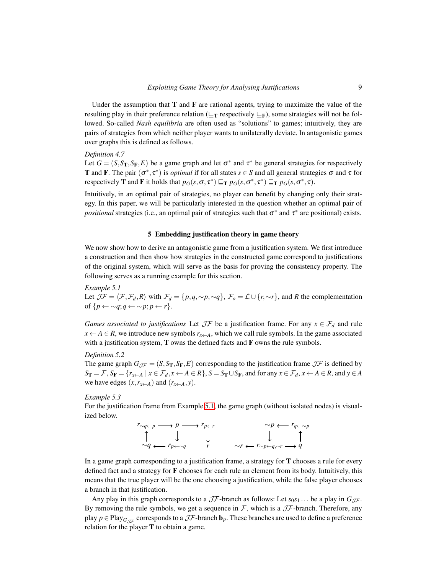Under the assumption that  $T$  and  $F$  are rational agents, trying to maximize the value of the resulting play in their preference relation ( $\sqsubseteq_T$  respectively  $\sqsubseteq_F$ ), some strategies will not be followed. So-called *Nash equilibria* are often used as "solutions" to games; intuitively, they are pairs of strategies from which neither player wants to unilaterally deviate. In antagonistic games over graphs this is defined as follows.

*Definition 4.7*

Let  $G = (S, S_T, S_F, E)$  be a game graph and let  $\sigma^*$  and  $\tau^*$  be general strategies for respectively **T** and **F**. The pair  $(\sigma^*, \tau^*)$  is *optimal* if for all states  $s \in S$  and all general strategies  $\sigma$  and  $\tau$  for respectively **T** and **F** it holds that  $p_G(s, \sigma, \tau^*) \sqsubseteq_{\mathbf{T}} p_G(s, \sigma^*, \tau^*) \sqsubseteq_{\mathbf{T}} p_G(s, \sigma^*, \tau)$ .

Intuitively, in an optimal pair of strategies, no player can benefit by changing only their strategy. In this paper, we will be particularly interested in the question whether an optimal pair of *positional* strategies (i.e., an optimal pair of strategies such that  $\sigma^*$  and  $\tau^*$  are positional) exists.

### <span id="page-8-0"></span>5 Embedding justification theory in game theory

We now show how to derive an antagonistic game from a justification system. We first introduce a construction and then show how strategies in the constructed game correspond to justifications of the original system, which will serve as the basis for proving the consistency property. The following serves as a running example for this section.

*Example 5.1* Let  $J\mathcal{F} = \langle \mathcal{F}, \mathcal{F}_d, R \rangle$  with  $\mathcal{F}_d = \{p, q, \sim p, \sim q\}, \mathcal{F}_o = \mathcal{L} \cup \{r, \sim r\}$ , and *R* the complementation of  ${p \leftarrow \neg q; q \leftarrow \neg p; p \leftarrow r}.$ 

*Games associated to justifications* Let  $J\mathcal{F}$  be a justification frame. For any  $x \in \mathcal{F}_d$  and rule *x* ← *A* ∈ *R*, we introduce new symbols  $r_{x \leftarrow A}$ , which we call rule symbols. In the game associated with a justification system,  $T$  owns the defined facts and  $F$  owns the rule symbols.

### *Definition 5.2*

The game graph  $G_{\mathcal{J}F} = (S, S_T, S_F, E)$  corresponding to the justification frame  $\mathcal{J}F$  is defined by  $S_T = \mathcal{F}, S_F = \{r_{x \leftarrow A} \mid x \in \mathcal{F}_d, x \leftarrow A \in R\}, S = S_T \cup S_F$ , and for any  $x \in \mathcal{F}_d, x \leftarrow A \in R$ , and  $y \in A$ we have edges  $(x, r_{x \leftarrow A})$  and  $(r_{x \leftarrow A}, y)$ .

*Example 5.3*

For the justification frame from Example [5.1,](#page-8-0) the game graph (without isolated nodes) is visualized below.



In a game graph corresponding to a justification frame, a strategy for T chooses a rule for every defined fact and a strategy for F chooses for each rule an element from its body. Intuitively, this means that the true player will be the one choosing a justification, while the false player chooses a branch in that justification.

Any play in this graph corresponds to a  $J\mathcal{F}$ -branch as follows: Let  $s_0s_1...$  be a play in  $G_{J\mathcal{F}}$ . By removing the rule symbols, we get a sequence in  $\mathcal{F}$ , which is a  $\mathcal{J}\mathcal{F}$ -branch. Therefore, any play  $p \in \text{Play}_{G_{\text{TF}}}$  corresponds to a  $\mathcal{J}F$ -branch  $\mathbf{b}_p$ . These branches are used to define a preference relation for the player T to obtain a game.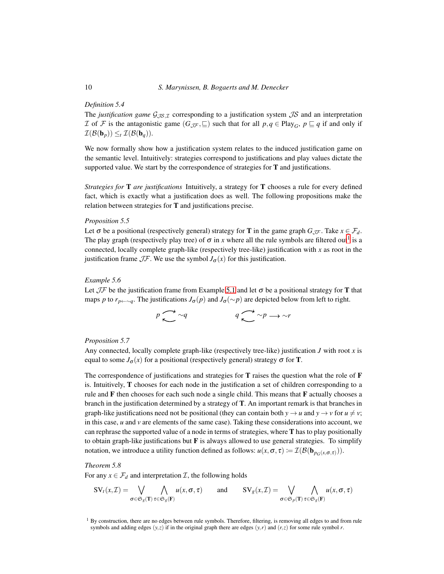#### *Definition 5.4*

The *justification game*  $\mathcal{G}_{JSL}$  corresponding to a justification system  $\mathcal{J}S$  and an interpretation If step is the antagonistic game  $(G_{\mathcal{F}}$ ,  $\sqsubseteq$ ) such that for all  $p, q \in \text{Play}_G$ ,  $p \sqsubseteq q$  if and only if  $\mathcal{I}(\mathcal{B}(\mathbf{b}_p)) \leq t \mathcal{I}(\mathcal{B}(\mathbf{b}_q)).$ 

We now formally show how a justification system relates to the induced justification game on the semantic level. Intuitively: strategies correspond to justifications and play values dictate the supported value. We start by the correspondence of strategies for T and justifications.

*Strategies for* T *are justifications* Intuitively, a strategy for T chooses a rule for every defined fact, which is exactly what a justification does as well. The following propositions make the relation between strategies for T and justifications precise.

## <span id="page-9-2"></span>*Proposition 5.5*

Let  $\sigma$  be a positional (respectively general) strategy for **T** in the game graph  $G_{\mathcal{J}}$ . Take  $x \in \mathcal{F}_d$ . The play graph (respectively play tree) of  $\sigma$  in *x* where all the rule symbols are filtered out<sup>[1](#page-9-0)</sup> is a connected, locally complete graph-like (respectively tree-like) justification with *x* as root in the justification frame  $\mathcal{J}F$ . We use the symbol  $J_{\sigma}(x)$  for this justification.

## *Example 5.6*

Let  $J\mathcal{F}$  be the justification frame from Example [5.1](#page-8-0) and let  $\sigma$  be a positional strategy for T that maps *p* to  $r_{p \leftarrow \neg q}$ . The justifications  $J_{\sigma}(p)$  and  $J_{\sigma}(\sim p)$  are depicted below from left to right.

<span id="page-9-1"></span>*p* ∼*q q* ∼*p* → ∼*r* 

## <span id="page-9-3"></span>*Proposition 5.7*

Any connected, locally complete graph-like (respectively tree-like) justification *J* with root *x* is equal to some  $J_{\sigma}(x)$  for a positional (respectively general) strategy  $\sigma$  for **T**.

The correspondence of justifications and strategies for  $T$  raises the question what the role of  $F$ is. Intuitively, T chooses for each node in the justification a set of children corresponding to a rule and  $\bf{F}$  then chooses for each such node a single child. This means that  $\bf{F}$  actually chooses a branch in the justification determined by a strategy of T. An important remark is that branches in graph-like justifications need not be positional (they can contain both  $y \rightarrow u$  and  $y \rightarrow v$  for  $u \neq v$ ; in this case, *u* and *v* are elements of the same case). Taking these considerations into account, we can rephrase the supported value of a node in terms of strategies, where T has to play positionally to obtain graph-like justifications but  $\bf{F}$  is always allowed to use general strategies. To simplify notation, we introduce a utility function defined as follows:  $u(x, \sigma, \tau) := \mathcal{I}(\mathcal{B}(\mathbf{b}_{p_G(x, \sigma, \tau)})).$ 

## *Theorem 5.8*

For any  $x \in \mathcal{F}_d$  and interpretation  $\mathcal{I}$ , the following holds

$$
SV_t(x,\mathcal{I}) = \bigvee_{\sigma \in \mathfrak{S}_{g}(\mathbf{T})} \bigwedge_{\tau \in \mathfrak{S}_{g}(\mathbf{F})} u(x,\sigma,\tau) \quad \text{and} \quad SV_g(x,\mathcal{I}) = \bigvee_{\sigma \in \mathfrak{S}_{p}(\mathbf{T})} \bigwedge_{\tau \in \mathfrak{S}_{g}(\mathbf{F})} u(x,\sigma,\tau)
$$

<span id="page-9-0"></span> $<sup>1</sup>$  By construction, there are no edges between rule symbols. Therefore, filtering, is removing all edges to and from rule</sup> symbols and adding edges  $(y, z)$  if in the original graph there are edges  $(y, r)$  and  $(r, z)$  for some rule symbol *r*.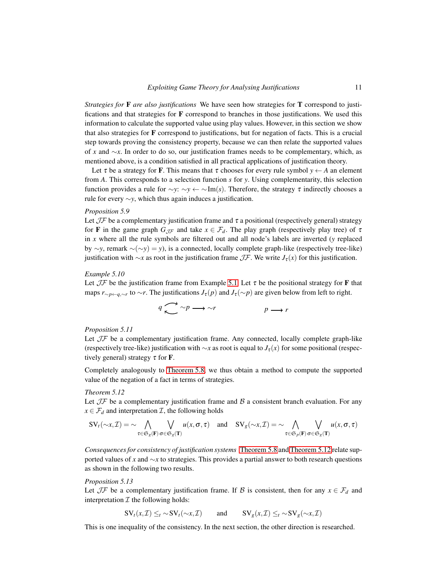*Strategies for* F *are also justifications* We have seen how strategies for T correspond to justifications and that strategies for F correspond to branches in those justifications. We used this information to calculate the supported value using play values. However, in this section we show that also strategies for F correspond to justifications, but for negation of facts. This is a crucial step towards proving the consistency property, because we can then relate the supported values of *x* and ∼*x*. In order to do so, our justification frames needs to be complementary, which, as mentioned above, is a condition satisfied in all practical applications of justification theory.

Let  $\tau$  be a strategy for **F**. This means that  $\tau$  chooses for every rule symbol  $y \leftarrow A$  an element from *A*. This corresponds to a selection function *s* for *y*. Using complementarity, this selection function provides a rule for ∼*y*: ∼*y* ← ∼Im(*s*). Therefore, the strategy <sup>τ</sup> indirectly chooses a rule for every ∼*y*, which thus again induces a justification.

#### <span id="page-10-3"></span>*Proposition 5.9*

Let  $J\mathcal{F}$  be a complementary justification frame and  $\tau$  a positional (respectively general) strategy for **F** in the game graph  $G_{\mathcal{J}\mathcal{F}}$  and take  $x \in \mathcal{F}_d$ . The play graph (respectively play tree) of  $\tau$ in *x* where all the rule symbols are filtered out and all node's labels are inverted (*y* replaced by ∼*y*, remark ∼(∼*y*) = *y*), is a connected, locally complete graph-like (respectively tree-like) justification with ∼*x* as root in the justification frame JF. We write *J*<sup>τ</sup> (*x*) for this justification.

#### *Example 5.10*

Let  $J\mathcal{F}$  be the justification frame from Example [5.1.](#page-8-0) Let  $\tau$  be the positional strategy for **F** that maps  $r_{\sim p \leftarrow q, \sim r}$  to  $\sim r$ . The justifications  $J_{\tau}(p)$  and  $J_{\tau}(\sim p)$  are given below from left to right.

$$
q \xrightarrow{\sim} \sim p \longrightarrow \sim r \qquad \qquad p \longrightarrow r
$$

#### <span id="page-10-4"></span>*Proposition 5.11*

Let  $J\mathcal{F}$  be a complementary justification frame. Any connected, locally complete graph-like (respectively tree-like) justification with  $\sim x$  as root is equal to  $J_{\tau}(x)$  for some positional (respectively general) strategy  $\tau$  for **F**.

<span id="page-10-1"></span>Completely analogously to [Theorem 5.8,](#page-9-1) we thus obtain a method to compute the supported value of the negation of a fact in terms of strategies.

#### *Theorem 5.12*

Let  $J\mathcal{F}$  be a complementary justification frame and  $\mathcal B$  a consistent branch evaluation. For any  $x \in \mathcal{F}_d$  and interpretation *I*, the following holds

$$
SV_t(\sim x, \mathcal{I}) = \sim \bigwedge_{\tau \in \mathfrak{S}_g(\mathbf{F})} \bigvee_{\sigma \in \mathfrak{S}_g(\mathbf{T})} u(x, \sigma, \tau) \quad \text{and} \quad SV_g(\sim x, \mathcal{I}) = \sim \bigwedge_{\tau \in \mathfrak{S}_p(\mathbf{F})} \bigvee_{\sigma \in \mathfrak{S}_g(\mathbf{T})} u(x, \sigma, \tau)
$$

*Consequences for consistency of justification systems* [Theorem 5.8](#page-9-1) and [Theorem 5.12](#page-10-1) relate supported values of *x* and ∼*x* to strategies. This provides a partial answer to both research questions as shown in the following two results.

## <span id="page-10-2"></span>*Proposition 5.13*

Let  $J\mathcal{F}$  be a complementary justification frame. If B is consistent, then for any  $x \in \mathcal{F}_d$  and interpretation  $\mathcal I$  the following holds:

$$
SV_t(x, \mathcal{I}) \leq_t \sim SV_t(\sim x, \mathcal{I}) \qquad \text{and} \qquad SV_g(x, \mathcal{I}) \leq_t \sim SV_g(\sim x, \mathcal{I})
$$

<span id="page-10-0"></span>This is one inequality of the consistency. In the next section, the other direction is researched.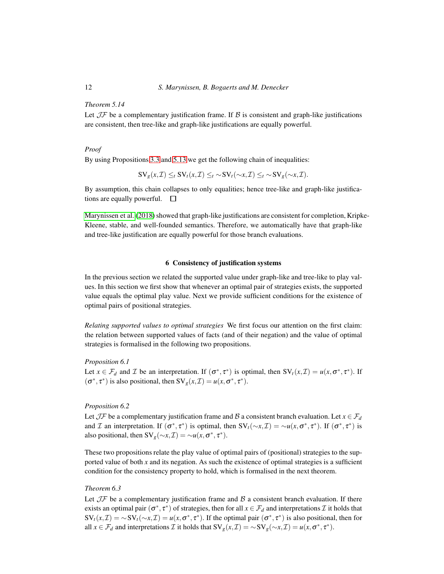## *Theorem 5.14*

Let  $J\mathcal{F}$  be a complementary justification frame. If  $\mathcal{B}$  is consistent and graph-like justifications are consistent, then tree-like and graph-like justifications are equally powerful.

## *Proof*

By using Propositions [3.3](#page-6-0) and [5.13](#page-10-2) we get the following chain of inequalities:

$$
SV_{g}(x, \mathcal{I}) \leq_{t} SV_{t}(x, \mathcal{I}) \leq_{t} \sim SV_{t}(\sim x, \mathcal{I}) \leq_{t} \sim SV_{g}(\sim x, \mathcal{I}).
$$

By assumption, this chain collapses to only equalities; hence tree-like and graph-like justifications are equally powerful.  $\Box$ 

Marynissen et al. (2018) showed that graph-like justifications are consistent for completion, Kripke-Kleene, stable, and well-founded semantics. Therefore, we automatically have that graph-like and tree-like justification are equally powerful for those branch evaluations.

## 6 Consistency of justification systems

In the previous section we related the supported value under graph-like and tree-like to play values. In this section we first show that whenever an optimal pair of strategies exists, the supported value equals the optimal play value. Next we provide sufficient conditions for the existence of optimal pairs of positional strategies.

*Relating supported values to optimal strategies* We first focus our attention on the first claim: the relation between supported values of facts (and of their negation) and the value of optimal strategies is formalised in the following two propositions.

<span id="page-11-0"></span>*Proposition 6.1* Let  $x \in \mathcal{F}_d$  and  $\mathcal I$  be an interpretation. If  $(\sigma^*, \tau^*)$  is optimal, then  $SV_t(x, \mathcal I) = u(x, \sigma^*, \tau^*)$ . If  $(\sigma^*, \tau^*)$  is also positional, then  $SV_g(x, \mathcal{I}) = u(x, \sigma^*, \tau^*)$ .

#### <span id="page-11-1"></span>*Proposition 6.2*

Let  $J\mathcal{F}$  be a complementary justification frame and B a consistent branch evaluation. Let  $x \in \mathcal{F}_d$ and I an interpretation. If  $(\sigma^*, \tau^*)$  is optimal, then  $SV_t(\sim x, \mathcal{I}) = \sim u(x, \sigma^*, \tau^*)$ . If  $(\sigma^*, \tau^*)$  is also positional, then  $SV_g(\sim x, \mathcal{I}) = \sim u(x, \sigma^*, \tau^*)$ .

These two propositions relate the play value of optimal pairs of (positional) strategies to the supported value of both  $x$  and its negation. As such the existence of optimal strategies is a sufficient condition for the consistency property to hold, which is formalised in the next theorem.

## <span id="page-11-2"></span>*Theorem 6.3*

Let  $J\mathcal{F}$  be a complementary justification frame and  $\mathcal B$  a consistent branch evaluation. If there exists an optimal pair  $(\sigma^*, \tau^*)$  of strategies, then for all  $x \in \mathcal{F}_d$  and interpretations  $\mathcal I$  it holds that  $SV_t(x,\mathcal{I}) = \sim SV_t(\sim x, \mathcal{I}) = u(x, \sigma^*, \tau^*)$ . If the optimal pair  $(\sigma^*, \tau^*)$  is also positional, then for all  $x \in \mathcal{F}_d$  and interpretations  $\mathcal I$  it holds that  $SV_g(x, \mathcal I) = \sim SV_g(\sim x, \mathcal I) = u(x, \sigma^*, \tau^*)$ .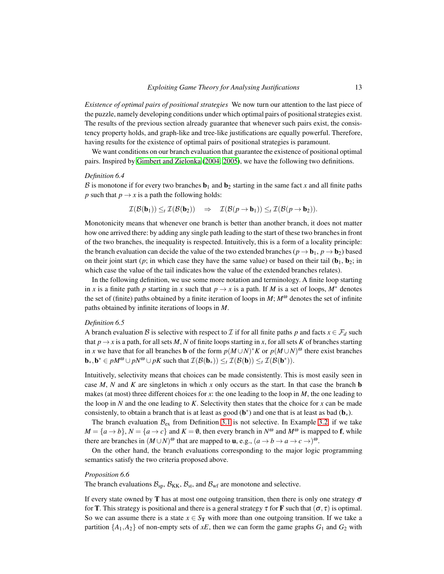*Existence of optimal pairs of positional strategies* We now turn our attention to the last piece of the puzzle, namely developing conditions under which optimal pairs of positional strategies exist. The results of the previous section already guarantee that whenever such pairs exist, the consistency property holds, and graph-like and tree-like justifications are equally powerful. Therefore, having results for the existence of optimal pairs of positional strategies is paramount.

We want conditions on our branch evaluation that guarantee the existence of positional optimal pairs. Inspired by Gimbert and Zielonka (2004; 2005), we have the following two definitions.

#### *Definition 6.4*

B is monotone if for every two branches  $\mathbf{b}_1$  and  $\mathbf{b}_2$  starting in the same fact x and all finite paths *p* such that  $p \rightarrow x$  is a path the following holds:

$$
\mathcal{I}(\mathcal{B}(\mathbf{b}_1)) \leq_t \mathcal{I}(\mathcal{B}(\mathbf{b}_2)) \quad \Rightarrow \quad \mathcal{I}(\mathcal{B}(p \to \mathbf{b}_1)) \leq_t \mathcal{I}(\mathcal{B}(p \to \mathbf{b}_2)).
$$

Monotonicity means that whenever one branch is better than another branch, it does not matter how one arrived there: by adding any single path leading to the start of these two branches in front of the two branches, the inequality is respected. Intuitively, this is a form of a locality principle: the branch evaluation can decide the value of the two extended branches ( $p \rightarrow b_1$ ,  $p \rightarrow b_2$ ) based on their joint start (*p*; in which case they have the same value) or based on their tail ( $\mathbf{b}_1$ ,  $\mathbf{b}_2$ ; in which case the value of the tail indicates how the value of the extended branches relates).

In the following definition, we use some more notation and terminology. A finite loop starting in *x* is a finite path *p* starting in *x* such that  $p \rightarrow x$  is a path. If *M* is a set of loops,  $M^*$  denotes the set of (finite) paths obtained by a finite iteration of loops in  $M$ ;  $M^{\omega}$  denotes the set of infinite paths obtained by infinite iterations of loops in *M*.

#### *Definition 6.5*

A branch evaluation B is selective with respect to I if for all finite paths p and facts  $x \in \mathcal{F}_d$  such that  $p \rightarrow x$  is a path, for all sets *M*, *N* of finite loops starting in *x*, for all sets *K* of branches starting in *x* we have that for all branches **b** of the form  $p(M \cup N)^*K$  or  $p(M \cup N)^{\omega}$  there exist branches  $\mathbf{b}_*, \mathbf{b}^* \in pM^{\omega} \cup pN^{\omega} \cup pK$  such that  $\mathcal{I}(\mathcal{B}(\mathbf{b}_*)) \leq_t \mathcal{I}(\mathcal{B}(\mathbf{b})) \leq_t \mathcal{I}(\mathcal{B}(\mathbf{b}^*)).$ 

Intuitively, selectivity means that choices can be made consistently. This is most easily seen in case *M*, *N* and *K* are singletons in which *x* only occurs as the start. In that case the branch b makes (at most) three different choices for *x*: the one leading to the loop in *M*, the one leading to the loop in  $N$  and the one leading to  $K$ . Selectivity then states that the choice for  $x$  can be made consistenly, to obtain a branch that is at least as good  $(b^*)$  and one that is at least as bad  $(b_*)$ .

The branch evaluation  $\mathcal{B}_{ex}$  from Definition [3.1](#page-5-0) is not selective. In Example [3.2,](#page-5-1) if we take  $M = \{a \rightarrow b\}$ ,  $N = \{a \rightarrow c\}$  and  $K = \emptyset$ , then every branch in  $N^{\omega}$  and  $M^{\omega}$  is mapped to **f**, while there are branches in  $(M \cup N)^{\omega}$  that are mapped to **u**, e.g.,  $(a \rightarrow b \rightarrow a \rightarrow c \rightarrow)^{\omega}$ .

<span id="page-12-0"></span>On the other hand, the branch evaluations corresponding to the major logic programming semantics satisfy the two criteria proposed above.

## *Proposition 6.6*

The branch evaluations  $\mathcal{B}_{sp}$ ,  $\mathcal{B}_{KK}$ ,  $\mathcal{B}_{st}$ , and  $\mathcal{B}_{wf}$  are monotone and selective.

If every state owned by T has at most one outgoing transition, then there is only one strategy  $\sigma$ for **T**. This strategy is positional and there is a general strategy  $\tau$  for **F** such that ( $\sigma$ ,  $\tau$ ) is optimal. So we can assume there is a state  $x \in S_T$  with more than one outgoing transition. If we take a partition  $\{A_1, A_2\}$  of non-empty sets of *xE*, then we can form the game graphs  $G_1$  and  $G_2$  with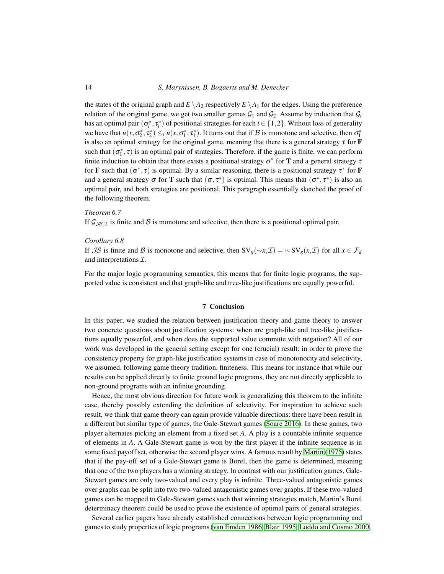the states of the original graph and  $E \setminus A_2$  respectively  $E \setminus A_1$  for the edges. Using the preference relation of the original game, we get two smaller games  $G_1$  and  $G_2$ . Assume by induction that  $G_i$ has an optimal pair  $(\sigma_i^*, \tau_i^*)$  of positional strategies for each  $i \in \{1, 2\}$ . Without loss of generality we have that  $u(x, \sigma_2^*, \tau_2^*) \leq_t u(x, \sigma_1^*, \tau_1^*)$ . It turns out that if B is monotone and selective, then  $\sigma_1^*$ is also an optimal strategy for the original game, meaning that there is a general strategy  $\tau$  for **F** such that  $(\sigma_1^*, \tau)$  is an optimal pair of strategies. Therefore, if the game is finite, we can perform finite induction to obtain that there exists a positional strategy  $\sigma^*$  for T and a general strategy  $\tau$ for F such that  $(\sigma^*, \tau)$  is optimal. By a similar reasoning, there is a positional strategy  $\tau^*$  for F and a general strategy  $\sigma$  for **T** such that  $(\sigma, \tau^*)$  is optimal. This means that  $(\sigma^*, \tau^*)$  is also an optimal pair, and both strategies are positional. This paragraph essentially sketched the proof of the following theorem.

#### <span id="page-13-0"></span>*Theorem 6.7*

If  $\mathcal{G}_{J\mathcal{S},\mathcal{I}}$  is finite and  $\mathcal B$  is monotone and selective, then there is a positional optimal pair.

#### *Corollary 6.8*

If JS is finite and B is monotone and selective, then  $SV_g(\sim x, \mathcal{I}) = \sim SV_g(x, \mathcal{I})$  for all  $x \in \mathcal{F}_d$ and interpretations  $\mathcal{I}$ .

For the major logic programming semantics, this means that for finite logic programs, the supported value is consistent and that graph-like and tree-like justifications are equally powerful.

## 7 Conclusion

In this paper, we studied the relation between justification theory and game theory to answer two concrete questions about justification systems: when are graph-like and tree-like justifications equally powerful, and when does the supported value commute with negation? All of our work was developed in the general setting except for one (crucial) result: in order to prove the consistency property for graph-like justification systems in case of monotonocity and selectivity, we assumed, following game theory tradition, finiteness. This means for instance that while our results can be applied directly to finite ground logic programs, they are not directly applicable to non-ground programs with an infinite grounding.

Hence, the most obvious direction for future work is generalizing this theorem to the infinite case, thereby possibly extending the definition of selectivity. For inspiration to achieve such result, we think that game theory can again provide valuable directions: there have been result in a different but similar type of games, the Gale-Stewart games [\(Soare 2016\)](#page-14-3). In these games, two player alternates picking an element from a fixed set *A*. A play is a countable infinite sequence of elements in *A*. A Gale-Stewart game is won by the first player if the infinite sequence is in some fixed payoff set, otherwise the second player wins. A famous result by Martin (1975) states that if the pay-off set of a Gale-Stewart game is Borel, then the game is determined, meaning that one of the two players has a winning strategy. In contrast with our justification games, Gale-Stewart games are only two-valued and every play is infinite. Three-valued antagonistic games over graphs can be split into two two-valued antagonistic games over graphs. If these two-valued games can be mapped to Gale-Stewart games such that winning strategies match, Martin's Borel determinacy theorem could be used to prove the existence of optimal pairs of general strategies.

Several earlier papers have already established connections between logic programming and games to study properties of logic programs (van Emden 1986; Blair 1995; Loddo and Cosmo 2000;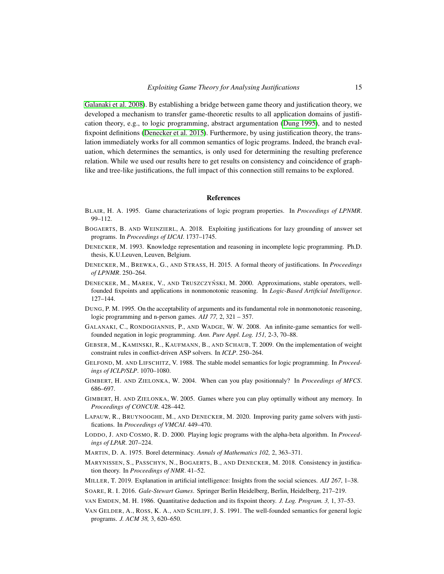Galanaki et al. 2008). By establishing a bridge between game theory and justification theory, we developed a mechanism to transfer game-theoretic results to all application domains of justification theory, e.g., to logic programming, abstract argumentation (Dung 1995), and to nested fixpoint definitions (Denecker et al. 2015). Furthermore, by using justification theory, the translation immediately works for all common semantics of logic programs. Indeed, the branch evaluation, which determines the semantics, is only used for determining the resulting preference relation. While we used our results here to get results on consistency and coincidence of graphlike and tree-like justifications, the full impact of this connection still remains to be explored.

#### References

- BLAIR, H. A. 1995. Game characterizations of logic program properties. In *Proceedings of LPNMR*. 99–112.
- BOGAERTS, B. AND WEINZIERL, A. 2018. Exploiting justifications for lazy grounding of answer set programs. In *Proceedings of IJCAI*. 1737–1745.
- <span id="page-14-0"></span>DENECKER, M. 1993. Knowledge representation and reasoning in incomplete logic programming. Ph.D. thesis, K.U.Leuven, Leuven, Belgium.
- DENECKER, M., BREWKA, G., AND STRASS, H. 2015. A formal theory of justifications. In *Proceedings of LPNMR*. 250–264.
- <span id="page-14-2"></span>DENECKER, M., MAREK, V., AND TRUSZCZYŃSKI, M. 2000. Approximations, stable operators, wellfounded fixpoints and applications in nonmonotonic reasoning. In *Logic-Based Artificial Intelligence*. 127–144.
- DUNG, P. M. 1995. On the acceptability of arguments and its fundamental role in nonmonotonic reasoning, logic programming and n-person games. *AIJ 77,* 2, 321 – 357.
- GALANAKI, C., RONDOGIANNIS, P., AND WADGE, W. W. 2008. An infinite-game semantics for wellfounded negation in logic programming. *Ann. Pure Appl. Log. 151,* 2-3, 70–88.
- GEBSER, M., KAMINSKI, R., KAUFMANN, B., AND SCHAUB, T. 2009. On the implementation of weight constraint rules in conflict-driven ASP solvers. In *ICLP*. 250–264.
- GELFOND, M. AND LIFSCHITZ, V. 1988. The stable model semantics for logic programming. In *Proceedings of ICLP/SLP*. 1070–1080.
- GIMBERT, H. AND ZIELONKA, W. 2004. When can you play positionnaly? In *Proceedings of MFCS*. 686–697.
- GIMBERT, H. AND ZIELONKA, W. 2005. Games where you can play optimally without any memory. In *Proceedings of CONCUR*. 428–442.
- LAPAUW, R., BRUYNOOGHE, M., AND DENECKER, M. 2020. Improving parity game solvers with justifications. In *Proceedings of VMCAI*. 449–470.
- LODDO, J. AND COSMO, R. D. 2000. Playing logic programs with the alpha-beta algorithm. In *Proceedings of LPAR*. 207–224.
- MARTIN, D. A. 1975. Borel determinacy. *Annals of Mathematics 102,* 2, 363–371.
- MARYNISSEN, S., PASSCHYN, N., BOGAERTS, B., AND DENECKER, M. 2018. Consistency in justification theory. In *Proceedings of NMR*. 41–52.
- MILLER, T. 2019. Explanation in artificial intelligence: Insights from the social sciences. *AIJ 267*, 1–38.
- <span id="page-14-3"></span>SOARE, R. I. 2016. *Gale-Stewart Games*. Springer Berlin Heidelberg, Berlin, Heidelberg, 217–219.
- VAN EMDEN, M. H. 1986. Quantitative deduction and its fixpoint theory. *J. Log. Program. 3,* 1, 37–53.
- <span id="page-14-1"></span>VAN GELDER, A., ROSS, K. A., AND SCHLIPF, J. S. 1991. The well-founded semantics for general logic programs. *J. ACM 38,* 3, 620–650.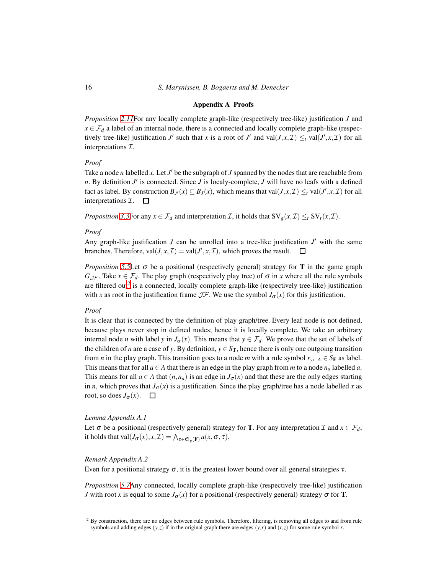#### Appendix A Proofs

*Proposition [2.11](#page-4-0)*For any locally complete graph-like (respectively tree-like) justification *J* and  $x \in \mathcal{F}_d$  a label of an internal node, there is a connected and locally complete graph-like (respectively tree-like) justification *J'* such that *x* is a root of *J'* and val $(J, x, \mathcal{I}) \leq_t$  val $(J', x, \mathcal{I})$  for all interpretations  $\mathcal{I}$ .

## *Proof*

Take a node *n* labelled *x*. Let *J* ′ be the subgraph of *J* spanned by the nodes that are reachable from  $n$ . By definition  $J'$  is connected. Since  $J$  is localy-complete,  $J$  will have no leafs with a defined fact as label. By construction  $B_J(x) \subseteq B_J(x)$ , which means that val $(J, x, \mathcal{I}) \leq_t \text{val}(J', x, \mathcal{I})$  for all interpretations  $\mathcal{I}$ .  $\Box$ 

*Proposition* [3.3](#page-6-0)For any  $x \in \mathcal{F}_d$  and interpretation  $\mathcal{I}$ , it holds that  $SV_g(x, \mathcal{I}) \leq_t SV_t(x, \mathcal{I})$ .

#### *Proof*

Any graph-like justification  $J$  can be unrolled into a tree-like justification  $J'$  with the same branches. Therefore,  $val(J, x, \mathcal{I}) = val(J', x, \mathcal{I})$ , which proves the result.

*Proposition* [5.5](#page-9-2)Let  $\sigma$  be a positional (respectively general) strategy for **T** in the game graph *G*<sub>JF</sub>. Take  $x \in \mathcal{F}_d$ . The play graph (respectively play tree) of  $\sigma$  in *x* where all the rule symbols are filtered out<sup>[2](#page-15-0)</sup> is a connected, locally complete graph-like (respectively tree-like) justification with *x* as root in the justification frame  $J\mathcal{F}$ . We use the symbol  $J_{\sigma}(x)$  for this justification.

### *Proof*

It is clear that is connected by the definition of play graph/tree. Every leaf node is not defined, because plays never stop in defined nodes; hence it is locally complete. We take an arbitrary internal node *n* with label *y* in  $J_{\sigma}(x)$ . This means that  $y \in \mathcal{F}_d$ . We prove that the set of labels of the children of *n* are a case of *y*. By definition,  $y \in S_T$ , hence there is only one outgoing transition from *n* in the play graph. This transition goes to a node *m* with a rule symbol  $r_{y \leftarrow A} \in S_F$  as label. This means that for all  $a \in A$  that there is an edge in the play graph from *m* to a node  $n_a$  labelled *a*. This means for all  $a \in A$  that  $(n, n_a)$  is an edge in  $J_{\sigma}(x)$  and that these are the only edges starting in *n*, which proves that  $J_{\sigma}(x)$  is a justification. Since the play graph/tree has a node labelled *x* as root, so does  $J_{\sigma}(x)$ .  $\Box$ 

## <span id="page-15-1"></span>*Lemma Appendix A.1*

Let  $\sigma$  be a positional (respectively general) strategy for **T**. For any interpretation  $\mathcal{I}$  and  $x \in \mathcal{F}_d$ , it holds that  $val(J_{\sigma}(x), x, \mathcal{I}) = \bigwedge_{\tau \in \mathfrak{S}_g(\mathbf{F})} u(x, \sigma, \tau).$ 

## *Remark Appendix A.2*

Even for a positional strategy  $\sigma$ , it is the greatest lower bound over all general strategies  $\tau$ .

*Proposition [5.7](#page-9-3)*Any connected, locally complete graph-like (respectively tree-like) justification *J* with root *x* is equal to some  $J_{\sigma}(x)$  for a positional (respectively general) strategy  $\sigma$  for **T**.

<span id="page-15-0"></span><sup>&</sup>lt;sup>2</sup> By construction, there are no edges between rule symbols. Therefore, filtering, is removing all edges to and from rule symbols and adding edges  $(y, z)$  if in the original graph there are edges  $(y, r)$  and  $(r, z)$  for some rule symbol *r*.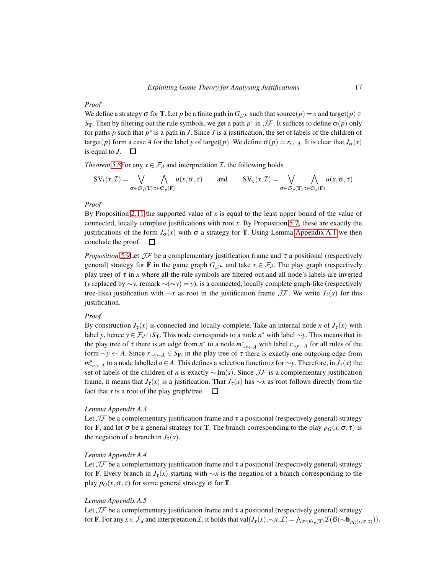#### *Proof*

We define a strategy  $\sigma$  for T. Let *p* be a finite path in  $G_{\mathcal{F}}$  such that source(*p*) = *x* and target(*p*)  $\in$ *S*<sub>T</sub>. Then by filtering out the rule symbols, we get a path  $p^*$  in  $\mathcal{J}F$ . It suffices to define  $\sigma(p)$  only for paths  $p$  such that  $p^*$  is a path in *J*. Since *J* is a justification, the set of labels of the children of target(*p*) form a case *A* for the label *y* of target(*p*). We define  $\sigma(p) = r_{y \leftarrow A}$ . It is clear that  $J_{\sigma}(x)$ is equal to  $J$ .  $\square$ 

*Theorem* [5.8](#page-9-1)For any  $x \in \mathcal{F}_d$  and interpretation  $\mathcal{I}$ , the following holds

$$
SV_t(x,\mathcal{I}) = \bigvee_{\sigma \in \mathfrak{S}_g(T)} \bigwedge_{\tau \in \mathfrak{S}_g(F)} u(x,\sigma,\tau) \quad \text{and} \quad SV_g(x,\mathcal{I}) = \bigvee_{\sigma \in \mathfrak{S}_p(T)} \bigwedge_{\tau \in \mathfrak{S}_g(F)} u(x,\sigma,\tau)
$$

## *Proof*

By Proposition [2.11](#page-4-0) the supported value of *x* is equal to the least upper bound of the value of connected, locally complete justifications with root *x*. By Proposition [5.7,](#page-9-3) these are exactly the justifications of the form  $J_{\sigma}(x)$  with  $\sigma$  a strategy for **T**. Using Lemma [Appendix A.1](#page-15-1) we then conclude the proof.  $\Box$ 

*Proposition* [5.9](#page-10-3)Let  $J\mathcal{F}$  be a complementary justification frame and  $\tau$  a positional (respectively general) strategy for **F** in the game graph  $G_{\mathcal{F}}$  and take  $x \in \mathcal{F}_d$ . The play graph (respectively play tree) of  $\tau$  in *x* where all the rule symbols are filtered out and all node's labels are inverted (*y* replaced by ∼*y*, remark ∼(∼*y*) = *y*), is a connected, locally complete graph-like (respectively tree-like) justification with ∼*x* as root in the justification frame  $J\mathcal{F}$ . We write  $J_{\tau}(x)$  for this justification.

## *Proof*

By construction  $J_{\tau}(x)$  is connected and locally-complete. Take an internal node *n* of  $J_{\tau}(x)$  with label *y*, hence *y* ∈ F*<sup>d</sup>* ∩*S*T. This node corresponds to a node *n* <sup>∗</sup> with label ∼*y*. This means that in the play tree of  $\tau$  there is an edge from  $n^*$  to a node  $m^*_{\sim y \leftarrow A}$  with label  $r_{\sim y \leftarrow A}$  for all rules of the form ∼*y* ← *A*. Since *r*∼*y*←*<sup>A</sup>* ∈ *S*F, in the play tree of <sup>τ</sup> there is exactly one outgoing edge from *m*<sup>\*</sup><sub>∼*y*←*A*</sub> to a node labelled *a* ∈ *A*. This defines a selection function *s* for ∼*y*. Therefore, in *J*<sub>τ</sub>(*x*) the set of labels of the children of *n* is exactly ∼Im(*s*). Since  $J\mathcal{F}$  is a complementary justification frame, it means that  $J_{\tau}(x)$  is a justification. That  $J_{\tau}(x)$  has  $\sim x$  as root follows directly from the fact that *x* is a root of the play graph/tree.  $\Box$ 

#### *Lemma Appendix A.3*

Let  $J\mathcal{F}$  be a complementary justification frame and  $\tau$  a positional (respectively general) strategy for **F**, and let  $\sigma$  be a general strategy for **T**. The branch corresponding to the play  $p_G(x, \sigma, \tau)$  is the negation of a branch in  $J_{\tau}(x)$ .

### *Lemma Appendix A.4*

Let  $J\mathcal{F}$  be a complementary justification frame and  $\tau$  a positional (respectively general) strategy for **F**. Every branch in *J*<sub>τ</sub>(*x*) starting with ∼*x* is the negation of a branch corresponding to the play  $p_G(x, \sigma, \tau)$  for some general strategy σ for **T**.

## <span id="page-16-0"></span>*Lemma Appendix A.5*

<span id="page-16-1"></span>Let  $J\mathcal{F}$  be a complementary justification frame and  $\tau$  a positional (respectively general) strategy for **F**. For any  $x \in \mathcal{F}_d$  and interpretation  $\mathcal{I}$ , it holds that val $(J_\tau(x), \sim x, \mathcal{I}) = \bigwedge_{\sigma \in \mathfrak{S}_g(\mathbf{T})} \mathcal{I}(\mathcal{B}(\sim \mathbf{b}_{p_G(x, \sigma, \tau)})).$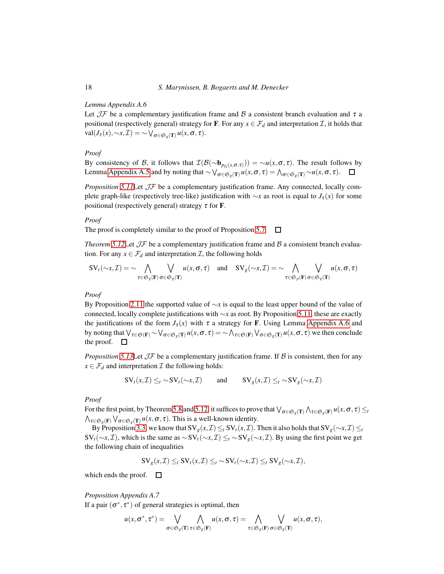#### *Lemma Appendix A.6*

Let  $J\mathcal{F}$  be a complementary justification frame and B a consistent branch evaluation and  $\tau$  a positional (respectively general) strategy for **F**. For any  $x \in \mathcal{F}_d$  and interpretation  $\mathcal{I}$ , it holds that  $\operatorname{val}(J_{\tau}(x), \sim x, \mathcal{I}) = \sim \bigvee_{\sigma \in \mathfrak{S}_{g}(\mathbf{T})} u(x, \sigma, \tau).$ 

#### *Proof*

By consistency of B, it follows that  $\mathcal{I}(\mathcal{B}(\sim \mathbf{b}_{p_G(x,\sigma,\tau)})) = \sim u(x,\sigma,\tau)$ . The result follows by Lemma [Appendix A.5](#page-16-0) and by noting that  $\sim \bigvee_{\sigma \in \mathfrak{S}_g(T)} u(x, \sigma, \tau) = \bigwedge_{\sigma \in \mathfrak{S}_g(T)} \sim u(x, \sigma, \tau)$ .

*Proposition [5.11](#page-10-4)*Let JF be a complementary justification frame. Any connected, locally complete graph-like (respectively tree-like) justification with  $\sim x$  as root is equal to  $J_{\tau}(x)$  for some positional (respectively general) strategy  $\tau$  for **F**.

## *Proof*

The proof is completely similar to the proof of Proposition [5.7.](#page-9-3)  $\Box$ 

*Theorem* [5.12](#page-10-1)Let  $J\mathcal{F}$  be a complementary justification frame and  $\beta$  a consistent branch evaluation. For any  $x \in \mathcal{F}_d$  and interpretation  $\mathcal{I}$ , the following holds

$$
SV_t(\sim x, \mathcal{I}) = \sim \bigwedge_{\tau \in \mathfrak{S}_g(\mathbf{F})} \bigvee_{\sigma \in \mathfrak{S}_g(\mathbf{T})} u(x, \sigma, \tau) \quad \text{and} \quad SV_g(\sim x, \mathcal{I}) = \sim \bigwedge_{\tau \in \mathfrak{S}_p(\mathbf{F})} \bigvee_{\sigma \in \mathfrak{S}_g(\mathbf{T})} u(x, \sigma, \tau)
$$

#### *Proof*

By Proposition [2.11](#page-4-0) the supported value of ∼*x* is equal to the least upper bound of the value of connected, locally complete justifications with ∼*x* as root. By Proposition [5.11,](#page-10-4) these are exactly the justifications of the form  $J_{\tau}(x)$  with  $\tau$  a strategy for **F**. Using Lemma [Appendix A.6](#page-16-1) and by noting that  $\bigvee_{\tau \in \mathfrak{S}(\mathbf{F})} \sim \bigvee_{\sigma \in \mathfrak{S}_g(\mathbf{T})} u(x, \sigma, \tau) = {\sim} \bigwedge_{\tau \in \mathfrak{S}(\mathbf{F})} \bigvee_{\sigma \in \mathfrak{S}_g(\mathbf{T})} u(x, \sigma, \tau)$  we then conclude the proof.  $\square$ 

*Proposition* [5.13](#page-10-2)Let  $J\mathcal{F}$  be a complementary justification frame. If B is consistent, then for any  $x \in \mathcal{F}_d$  and interpretation  $\mathcal I$  the following holds:

$$
SV_t(x, \mathcal{I}) \leq_t \sim SV_t(\sim x, \mathcal{I}) \qquad \text{and} \qquad SV_g(x, \mathcal{I}) \leq_t \sim SV_g(\sim x, \mathcal{I})
$$

### *Proof*

For the first point, by Theorem [5.8](#page-9-1) and [5.12,](#page-10-1) it suffices to prove that  $\bigvee_{\sigma\in\mathfrak{S}_g(\mathbf{T})}\bigwedge_{\tau\in\mathfrak{S}_g(\mathbf{F})}u(x,\sigma,\tau)\leq_f$  $\bigwedge_{\tau \in \mathfrak{S}_g(\mathbf{F})} \bigvee_{\sigma \in \mathfrak{S}_g(\mathbf{T})} u(x, \sigma, \tau)$ . This is a well-known identity.

By Proposition [3.3,](#page-6-0) we know that  $SV_g(x, \mathcal{I}) \leq_t SV_t(x, \mathcal{I})$ . Then it also holds that  $SV_g(\sim x, \mathcal{I}) \leq_t t$  $SV_t(\sim x, \mathcal{I})$ , which is the same as  $\sim SV_t(\sim x, \mathcal{I}) \leq_t \sim SV_g(\sim x, \mathcal{I})$ . By using the first point we get the following chain of inequalities

$$
SV_{g}(x, \mathcal{I}) \leq_{t} SV_{t}(x, \mathcal{I}) \leq_{t} \sim SV_{t}(\sim x, \mathcal{I}) \leq_{t} SV_{g}(\sim x, \mathcal{I}),
$$

<span id="page-17-0"></span>which ends the proof.  $\Box$ 

## *Proposition Appendix A.7*

If a pair  $(\sigma^*, \tau^*)$  of general strategies is optimal, then

$$
u(x, \sigma^*, \tau^*) = \bigvee_{\sigma \in \mathfrak{S}_g(\mathbf{T})} \bigwedge_{\tau \in \mathfrak{S}_g(\mathbf{F})} u(x, \sigma, \tau) = \bigwedge_{\tau \in \mathfrak{S}_g(\mathbf{F})} \bigvee_{\sigma \in \mathfrak{S}_g(\mathbf{T})} u(x, \sigma, \tau),
$$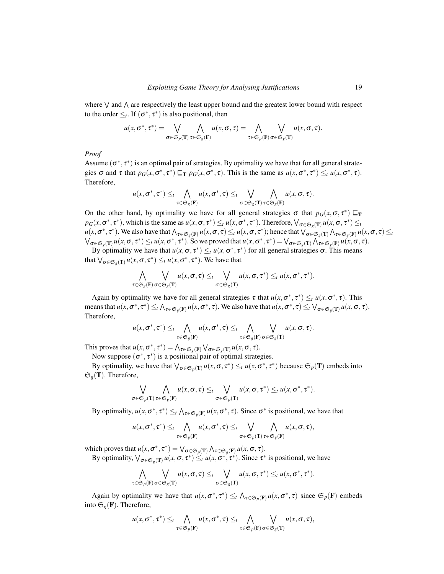where  $\vee$  and  $\wedge$  are respectively the least upper bound and the greatest lower bound with respect to the order  $\leq_t$ . If  $(\sigma^*, \tau^*)$  is also positional, then

$$
u(x, \sigma^*, \tau^*) = \bigvee_{\sigma \in \mathfrak{S}_p(\mathbf{T})} \bigwedge_{\tau \in \mathfrak{S}_g(\mathbf{F})} u(x, \sigma, \tau) = \bigwedge_{\tau \in \mathfrak{S}_p(\mathbf{F})} \bigvee_{\sigma \in \mathfrak{S}_g(\mathbf{T})} u(x, \sigma, \tau).
$$

*Proof*

Assume  $(\sigma^*, \tau^*)$  is an optimal pair of strategies. By optimality we have that for all general strategies  $\sigma$  and  $\tau$  that  $p_G(x, \sigma^*, \tau^*) \sqsubseteq_{\mathbf{T}} p_G(x, \sigma^*, \tau)$ . This is the same as  $u(x, \sigma^*, \tau^*) \leq_t u(x, \sigma^*, \tau)$ . Therefore,

$$
u(x, \sigma^*, \tau^*) \leq_t \bigwedge_{\tau \in \mathfrak{S}_g(\mathbf{F})} u(x, \sigma^*, \tau) \leq_t \bigvee_{\sigma \in \mathfrak{S}_g(\mathbf{T})} \bigwedge_{\tau \in \mathfrak{S}_g(\mathbf{F})} u(x, \sigma, \tau).
$$

On the other hand, by optimality we have for all general strategies  $\sigma$  that  $p_G(x, \sigma, \tau^*) \sqsubseteq_T$  $p_G(x, \sigma^*, \tau^*)$ , which is the same as  $u(x, \sigma, \tau^*) \leq_t u(x, \sigma^*, \tau^*)$ . Therefore,  $\forall_{\sigma \in \mathfrak{S}_g(\mathbf{T})} u(x, \sigma, \tau^*) \leq_t u(x, \sigma^*, \tau^*)$  $u(x, \sigma^*, \tau^*)$ . We also have that  $\bigwedge_{\tau \in \mathfrak{S}_g(\mathbf{F})} u(x, \sigma, \tau) \leq_t u(x, \sigma, \tau^*)$ ; hence that  $\bigvee_{\sigma \in \mathfrak{S}_g(\mathbf{T})} \bigwedge_{\tau \in \mathfrak{S}_g(\mathbf{F})} u(x, \sigma, \tau) \leq_t u(x, \sigma, \tau)$  $\bigvee_{\sigma \in \mathfrak{S}_g(\mathbf{T})} u(x, \sigma, \tau^*) \leq_t u(x, \sigma^*, \tau^*)$ . So we proved that  $u(x, \sigma^*, \tau^*) = \bigvee_{\sigma \in \mathfrak{S}_g(\mathbf{T})} \bigwedge_{\tau \in \mathfrak{S}_g(\mathbf{F})} u(x, \sigma, \tau)$ .

By optimality we have that  $u(x, \sigma, \tau^*) \leq_t u(x, \sigma^*, \tau^*)$  for all general strategies  $\sigma$ . This means that  $\bigvee_{\sigma \in \mathfrak{S}_g(\mathbf{T})} u(x, \sigma, \tau^*) \leq_t u(x, \sigma^*, \tau^*)$ . We have that

$$
\bigwedge_{\tau \in \mathfrak{S}_{g}(\mathbf{F})} \bigvee_{\sigma \in \mathfrak{S}_{g}(\mathbf{T})} u(x, \sigma, \tau) \leq t \bigvee_{\sigma \in \mathfrak{S}_{g}(\mathbf{T})} u(x, \sigma, \tau^{*}) \leq t u(x, \sigma^{*}, \tau^{*}).
$$

Again by optimality we have for all general strategies  $\tau$  that  $u(x, \sigma^*, \tau^*) \leq_t u(x, \sigma^*, \tau)$ . This means that  $u(x, \sigma^*, \tau^*) \leq_t \bigwedge_{\tau \in \mathfrak{S}_g(\mathbf{F})} u(x, \sigma^*, \tau)$ . We also have that  $u(x, \sigma^*, \tau) \leq_t \bigvee_{\sigma \in \mathfrak{S}_g(\mathbf{T})} u(x, \sigma, \tau)$ . Therefore,

$$
u(x, \sigma^*, \tau^*) \leq_t \bigwedge_{\tau \in \mathfrak{S}_g(\mathbf{F})} u(x, \sigma^*, \tau) \leq_t \bigwedge_{\tau \in \mathfrak{S}_g(\mathbf{F})} \bigvee_{\sigma \in \mathfrak{S}_g(\mathbf{T})} u(x, \sigma, \tau).
$$

This proves that  $u(x, \sigma^*, \tau^*) = \bigwedge_{\tau \in \mathfrak{S}_g(\mathbf{F})} \bigvee_{\sigma \in \mathfrak{S}_g(\mathbf{T})} u(x, \sigma, \tau)$ .

Now suppose  $(\sigma^*, \tau^*)$  is a positional pair of optimal strategies.

By optimality, we have that  $\bigvee_{\sigma \in \mathfrak{S}_p(\mathbf{T})} u(x, \sigma, \tau^*) \leq_t u(x, \sigma^*, \tau^*)$  because  $\mathfrak{S}_p(\mathbf{T})$  embeds into  $\mathfrak{S}_{g}(\mathbf{T})$ . Therefore,

$$
\bigvee_{\sigma \in \mathfrak{S}_p(\mathbf{T})} \bigwedge_{\tau \in \mathfrak{S}_g(\mathbf{F})} u(x, \sigma, \tau) \leq t \bigvee_{\sigma \in \mathfrak{S}_p(\mathbf{T})} u(x, \sigma, \tau^*) \leq t u(x, \sigma^*, \tau^*).
$$

By optimality,  $u(x, \sigma^*, \tau^*) \leq_t \Lambda_{\tau \in \mathfrak{S}_g(\mathbf{F})} u(x, \sigma^*, \tau)$ . Since  $\sigma^*$  is positional, we have that

$$
u(x, \sigma^*, \tau^*) \leq_t \bigwedge_{\tau \in \mathfrak{S}_g(\mathbf{F})} u(x, \sigma^*, \tau) \leq_t \bigvee_{\sigma \in \mathfrak{S}_p(\mathbf{T})} \bigwedge_{\tau \in \mathfrak{S}_g(\mathbf{F})} u(x, \sigma, \tau),
$$

which proves that  $u(x, \sigma^*, \tau^*) = \bigvee_{\sigma \in \mathfrak{S}_p(\mathbf{T})} \bigwedge_{\tau \in \mathfrak{S}_g(\mathbf{F})} u(x, \sigma, \tau)$ .

By optimality,  $\bigvee_{\sigma \in \mathfrak{S}_g(\mathbf{T})} u(x, \sigma, \tau^*) \leq_t u(x, \sigma^*, \tau^*)$ . Since  $\tau^*$  is positional, we have

$$
\bigwedge_{\tau \in \mathfrak{S}_p(\mathbf{F})} \bigvee_{\sigma \in \mathfrak{S}_g(\mathbf{T})} u(x, \sigma, \tau) \leq_t \bigvee_{\sigma \in \mathfrak{S}_g(\mathbf{T})} u(x, \sigma, \tau^*) \leq_t u(x, \sigma^*, \tau^*).
$$

Again by optimality we have that  $u(x, \sigma^*, \tau^*) \leq_t \Lambda_{\tau \in \mathfrak{S}_p(\mathbf{F})} u(x, \sigma^*, \tau)$  since  $\mathfrak{S}_p(\mathbf{F})$  embeds into  $\mathfrak{S}_{g}(\mathbf{F})$ . Therefore,

$$
u(x, \sigma^*, \tau^*) \leq_t \bigwedge_{\tau \in \mathfrak{S}_p(\mathbf{F})} u(x, \sigma^*, \tau) \leq_t \bigwedge_{\tau \in \mathfrak{S}_p(\mathbf{F})} \bigvee_{\sigma \in \mathfrak{S}_g(\mathbf{T})} u(x, \sigma, \tau),
$$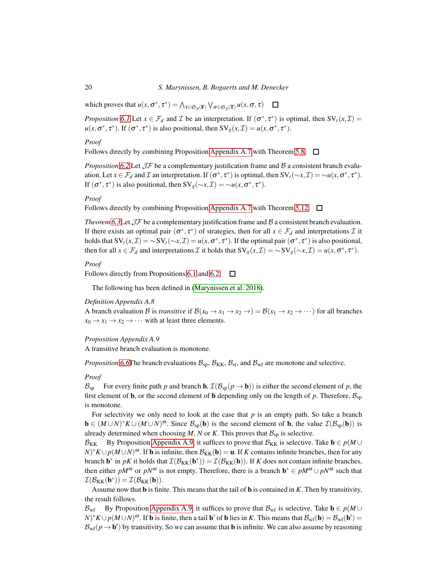which proves that  $u(x, \sigma^*, \tau^*) = \bigwedge_{\tau \in \mathfrak{S}_p(\mathbf{F})} \bigvee_{\sigma \in \mathfrak{S}_g(\mathbf{T})} u(x, \sigma, \tau)$ 

*Proposition* [6.1](#page-11-0) Let  $x \in \mathcal{F}_d$  and  $\mathcal{I}$  be an interpretation. If  $(\sigma^*, \tau^*)$  is optimal, then  $SV_t(x, \mathcal{I}) =$  $u(x, \sigma^*, \tau^*)$ . If  $(\sigma^*, \tau^*)$  is also positional, then  $SV_g(x, \mathcal{I}) = u(x, \sigma^*, \tau^*)$ .

#### *Proof*

Follows directly by combining Proposition [Appendix A.7](#page-17-0) with Theorem [5.8.](#page-9-1)  $\Box$ 

*Proposition* [6.2](#page-11-1) Let  $J\mathcal{F}$  be a complementary justification frame and  $\beta$  a consistent branch evaluation. Let  $x \in \mathcal{F}_d$  and  $\mathcal I$  an interpretation. If  $(\sigma^*, \tau^*)$  is optimal, then  $SV_t(\sim x, \mathcal I) = \sim u(x, \sigma^*, \tau^*)$ . If  $(\sigma^*, \tau^*)$  is also positional, then  $SV_g(\sim x, \mathcal{I}) = \sim u(x, \sigma^*, \tau^*)$ .

#### *Proof*

Follows directly by combining Proposition [Appendix A.7](#page-17-0) with Theorem [5.12.](#page-10-1)  $\Box$ 

*Theorem* [6.3](#page-11-2)Let  $J\mathcal{F}$  be a complementary justification frame and  $\beta$  a consistent branch evaluation. If there exists an optimal pair  $(\sigma^*, \tau^*)$  of strategies, then for all  $x \in \mathcal{F}_d$  and interpretations  $\mathcal I$  it holds that  $SV_t(x,\mathcal{I}) = \sim SV_t(\sim x,\mathcal{I}) = u(x,\sigma^*,\tau^*)$ . If the optimal pair  $(\sigma^*,\tau^*)$  is also positional, then for all  $x \in \mathcal{F}_d$  and interpretations  $\mathcal I$  it holds that  $SV_g(x, \mathcal{I}) = \sim SV_g(\sim x, \mathcal{I}) = u(x, \sigma^*, \tau^*)$ .

#### *Proof*

Follows directly from Propositions [6.1](#page-11-0) and [6.2.](#page-11-1)  $\Box$ 

The following has been defined in (Marynissen et al. 2018).

### *Definition Appendix A.8*

<span id="page-19-0"></span>A branch evaluation B is *transitive* if  $B(x_0 \to x_1 \to x_2 \to) = B(x_1 \to x_2 \to \cdots)$  for all branches  $x_0 \rightarrow x_1 \rightarrow x_2 \rightarrow \cdots$  with at least three elements.

#### *Proposition Appendix A.9*

A transitive branch evaluation is monotone.

*Proposition* [6.6](#page-12-0)The branch evaluations  $B_{sp}$ ,  $B_{KK}$ ,  $B_{st}$ , and  $B_{wf}$  are monotone and selective.

#### *Proof*

 $B_{\rm sp}$  For every finite path *p* and branch **b**,  $\mathcal{I}(B_{\rm sp}(p \to \mathbf{b}))$  is either the second element of *p*, the first element of **b**, or the second element of **b** depending only on the length of p. Therefore,  $B_{\text{sp}}$ is monotone.

For selectivity we only need to look at the case that *p* is an empty path. So take a branch  $\mathbf{b} \in (M \cup N)^* K \cup (M \cup N)^{\omega}$ . Since  $\mathcal{B}_{\text{sp}}(\mathbf{b})$  is the second element of **b**, the value  $\mathcal{I}(\mathcal{B}_{\text{sp}}(\mathbf{b}))$  is already determined when choosing  $M$ ,  $N$  or  $K$ . This proves that  $\mathcal{B}_{sp}$  is selective.

 $B_{KK}$  By Proposition [Appendix A.9,](#page-19-0) it suffices to prove that  $B_{KK}$  is selective. Take  $\mathbf{b} \in p(M \cup$  $(N)^*K \cup p(M \cup N)^{\omega}$ . If **b** is infinite, then  $\mathcal{B}_{KK}(\mathbf{b}) = \mathbf{u}$ . If *K* contains infinite branches, then for any branch **b**<sup>\*</sup> in *pK* it holds that  $\mathcal{I}(\mathcal{B}_{KK}(\mathbf{b}^*)) = \mathcal{I}(\mathcal{B}_{KK}(\mathbf{b}))$ . If *K* does not contain infinite branches, then either  $pM^{\omega}$  or  $pN^{\omega}$  is not empty. Therefore, there is a branch  $\mathbf{b}^* \in pM^{\omega} \cup pN^{\omega}$  such that  $\mathcal{I}(\mathcal{B}_{\text{KK}}(\mathbf{b}^*)) = \mathcal{I}(\mathcal{B}_{\text{KK}}(\mathbf{b})).$ 

Assume now that b is finite. This means that the tail of b is contained in *K*. Then by transitivity, the result follows.

 $\mathcal{B}_{\text{wf}}$  By Proposition [Appendix A.9,](#page-19-0) it suffices to prove that  $\mathcal{B}_{\text{wf}}$  is selective. Take  $\mathbf{b} \in p(M \cup$  $(N)^* K \cup p(M \cup N)^{\omega}$ . If **b** is finite, then a tail **b'** of **b** lies in *K*. This means that  $\mathcal{B}_{\text{wf}}(\mathbf{b}) = \mathcal{B}_{\text{wf}}(\mathbf{b}')$  $\mathcal{B}_{\text{wf}}(p \to \mathbf{b}')$  by transitivity. So we can assume that **b** is infinite. We can also assume by reasoning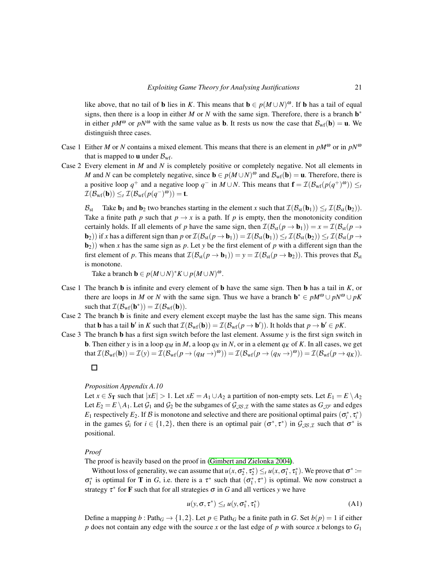like above, that no tail of **b** lies in *K*. This means that  $\mathbf{b} \in p(M \cup N)^{\omega}$ . If **b** has a tail of equal signs, then there is a loop in either *M* or *N* with the same sign. Therefore, there is a branch  $b^*$ in either  $pM^{\omega}$  or  $pN^{\omega}$  with the same value as **b**. It rests us now the case that  $B_{\rm wf}(\mathbf{b}) = \mathbf{u}$ . We distinguish three cases.

- Case 1 Either *M* or *N* contains a mixed element. This means that there is an element in  $pM^{\omega}$  or in  $pN^{\omega}$ that is mapped to **u** under  $B_{\rm wf}$ .
- Case 2 Every element in *M* and *N* is completely positive or completely negative. Not all elements in *M* and *N* can be completely negative, since  $\mathbf{b} \in p(M \cup N)^{\omega}$  and  $\mathcal{B}_{\text{wf}}(\mathbf{b}) = \mathbf{u}$ . Therefore, there is a positive loop  $q^+$  and a negative loop  $q^-$  in  $M \cup N$ . This means that  $\mathbf{f} = \mathcal{I}(\mathcal{B}_{\text{wf}}(p(q^+)^{\omega})) \leq t$  $\mathcal{I}(\mathcal{B}_{\text{wf}}(\mathbf{b})) \leq_t \mathcal{I}(\mathcal{B}_{\text{wf}}(p(q^{-})^{\omega})) = \mathbf{t}.$

 $B_{st}$  Take **b**<sub>1</sub> and **b**<sub>2</sub> two branches starting in the element *x* such that  $\mathcal{I}(B_{st}(\mathbf{b}_1)) \leq t \mathcal{I}(B_{st}(\mathbf{b}_2)).$ Take a finite path *p* such that  $p \rightarrow x$  is a path. If *p* is empty, then the monotonicity condition certainly holds. If all elements of *p* have the same sign, then  $\mathcal{I}(\mathcal{B}_{st}(p \to \mathbf{b}_1)) = x = \mathcal{I}(\mathcal{B}_{st}(p \to \mathbf{b}_1))$  $\mathbf{b}_2$ )) if *x* has a different sign than *p* or  $\mathcal{I}(\mathcal{B}_{st}(p \to \mathbf{b}_1)) = \mathcal{I}(\mathcal{B}_{st}(\mathbf{b}_1)) \leq t \mathcal{I}(\mathcal{B}_{st}(\mathbf{b}_2)) \leq t \mathcal{I}(\mathcal{B}_{st}(p \to \mathbf{b}_1))$ **) when** *x* **has the same sign as** *p***. Let** *y* **be the first element of** *p* **with a different sign than the** first element of *p*. This means that  $\mathcal{I}(\mathcal{B}_{st}(p \to \mathbf{b}_1)) = y = \mathcal{I}(\mathcal{B}_{st}(p \to \mathbf{b}_2))$ . This proves that  $\mathcal{B}_{st}$ is monotone.

Take a branch  $\mathbf{b} \in p(M \cup N)^*K \cup p(M \cup N)^{\omega}$ .

- Case 1 The branch b is infinite and every element of b have the same sign. Then b has a tail in *K*, or there are loops in *M* or *N* with the same sign. Thus we have a branch  $\mathbf{b}^* \in pM^{\omega} \cup pN^{\omega} \cup pK$ such that  $\mathcal{I}(\mathcal{B}_{\text{wf}}(\mathbf{b}^*)) = \mathcal{I}(\mathcal{B}_{\text{wf}}(\mathbf{b})).$
- Case 2 The branch b is finite and every element except maybe the last has the same sign. This means that **b** has a tail **b**' in K such that  $\mathcal{I}(\mathcal{B}_{\text{wf}}(\mathbf{b})) = \mathcal{I}(\mathcal{B}_{\text{wf}}(p \to \mathbf{b}'))$ . It holds that  $p \to \mathbf{b}' \in pK$ .
- Case 3 The branch b has a first sign switch before the last element. Assume *y* is the first sign switch in **b**. Then either y is in a loop  $q_M$  in M, a loop  $q_N$  in N, or in a element  $q_K$  of K. In all cases, we get  $\textrm{that }\mathcal{I}(\mathcal{B}_{\textrm{wf}}(\mathbf{b}))=\mathcal{I}(y)=\mathcal{I}(\mathcal{B}_{\textrm{wf}}(p\rightarrow (q_M\rightarrow)^{\omega}))=\mathcal{I}(\mathcal{B}_{\textrm{wf}}(p\rightarrow (q_N\rightarrow)^{\omega}))=\mathcal{I}(\mathcal{B}_{\textrm{wf}}(p\rightarrow q_K)).$

## <span id="page-20-1"></span> $\Box$

## *Proposition Appendix A.10*

Let  $x \in S_T$  such that  $|xE| > 1$ . Let  $xE = A_1 \cup A_2$  a partition of non-empty sets. Let  $E_1 = E \setminus A_2$ Let  $E_2 = E \setminus A_1$ . Let  $\mathcal{G}_1$  and  $\mathcal{G}_2$  be the subgames of  $\mathcal{G}_{\mathcal{J}\mathcal{F},\mathcal{I}}$  with the same states as  $G_{\mathcal{J}\mathcal{F}}$  and edges *E*<sub>1</sub> respectively *E*<sub>2</sub>. If *B* is monotone and selective and there are positional optimal pairs  $(\sigma_i^*, \tau_i^*)$ in the games  $G_i$  for  $i \in \{1,2\}$ , then there is an optimal pair  $(\sigma^*, \tau^*)$  in  $\mathcal{G}_{\mathcal{JS},\mathcal{I}}$  such that  $\sigma^*$  is positional.

#### *Proof*

The proof is heavily based on the proof in (Gimbert and Zielonka 2004).

Without loss of generality, we can assume that  $u(x, \sigma_2^*, \tau_2^*) \leq_t u(x, \sigma_1^*, \tau_1^*)$ . We prove that  $\sigma^* \coloneqq$  $\sigma_1^*$  is optimal for **T** in *G*, i.e. there is a  $\tau^*$  such that  $(\sigma_1^*, \tau^*)$  is optimal. We now construct a strategy  $\tau^*$  for **F** such that for all strategies  $\sigma$  in *G* and all vertices *y* we have

<span id="page-20-0"></span>
$$
u(y, \sigma, \tau^*) \leq_t u(y, \sigma_1^*, \tau_1^*)
$$
\n(A1)

Define a mapping *b* : Path<sub>*G*</sub>  $\rightarrow$  {1,2}. Let  $p \in$  Path<sub>*G*</sub> be a finite path in *G*. Set  $b(p) = 1$  if either *p* does not contain any edge with the source *x* or the last edge of *p* with source *x* belongs to  $G_1$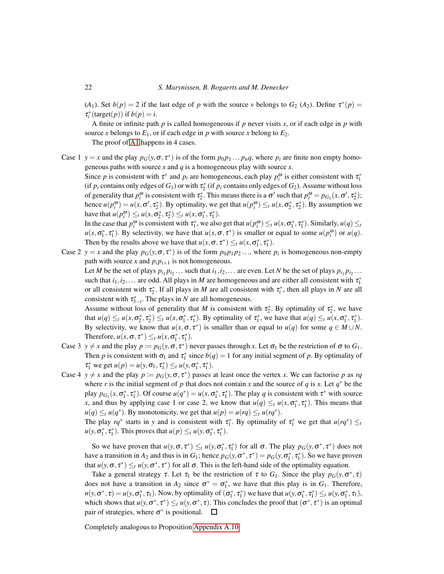(*A*<sub>1</sub>). Set  $b(p) = 2$  if the last edge of *p* with the source *v* belongs to  $G_2(A_2)$ . Define  $\tau^*(p) =$  $\tau_i^*$ (target(*p*)) if  $b(p) = i$ .

A finite or infinite path *p* is called homogeneous if *p* never visits *x*, or if each edge in *p* with source *x* belongs to  $E_1$ , or if each edge in *p* with source *x* belong to  $E_2$ .

The proof of [A1](#page-20-0) happens in 4 cases.

Case 1  $y = x$  and the play  $p_G(y, \sigma, \tau^*)$  is of the form  $p_0 p_1 \dots p_n q$ , where  $p_i$  are finite non empty homogeneous paths with source *x* and *q* is a homogeneous play with source *x*.

Since *p* is consistent with  $\tau^*$  and  $p_i$  are homogeneous, each play  $p_i^{\omega}$  is either consistent with  $\tau_1^*$ (if  $p_i$  contains only edges of  $G_1$ ) or with  $\tau_2^*$  (if  $p_i$  contains only edges of  $G_2$ ). Assume without loss of generality that  $p_i^{\omega}$  is consistent with  $\tau_2^*$ . This means there is a  $\sigma'$  such that  $p_i^{\omega} = p_{G_1}(x, \sigma', \tau_2^*)$ ; hence  $u(p_i^{\omega}) = u(x, \sigma', \tau_2^*)$ . By optimality, we get that  $u(p_i^{\omega}) \leq_t u(x, \sigma_2^*, \tau_2^*)$ . By assumption we have that  $u(p_i^{\omega}) \leq_t u(x, \sigma_2^*, \tau_2^*) \leq_t u(x, \sigma_1^*, \tau_1^*).$ 

In the case that  $p_i^{\omega}$  is consistent with  $\tau_1^*$ , we also get that  $u(p_i^{\omega}) \leq_t u(x, \sigma_1^*, \tau_1^*)$ . Similarly,  $u(q) \leq_t u(q)$ .  $u(x, \sigma_1^*, \tau_1^*)$ . By selectivity, we have that  $u(x, \sigma, \tau^*)$  is smaller or equal to some  $u(p_i^{\omega})$  or  $u(q)$ . Then by the results above we have that  $u(x, \sigma, \tau^*) \leq_t u(x, \sigma_1^*, \tau_1^*)$ .

Case 2  $y = x$  and the play  $p_G(y, \sigma, \tau^*)$  is of the form  $p_0 p_1 p_2 \ldots$ , where  $p_i$  is homogeneous non-empty path with source *x* and  $p_i p_{i+1}$  is not homogeneous. Let *M* be the set of plays  $p_{i_1}p_{i_2} \ldots$  such that  $i_1, i_2, \ldots$  are even. Let *N* be the set of plays  $p_{i_1}p_{i_2} \ldots$ such that  $i_1, i_2,...$  are odd. All plays in *M* are homogeneous and are either all consistent with  $\tau_1^*$ 

or all consistent with  $\tau_2^*$ . If all plays in *M* are all consistent with  $\tau_i^*$ , then all plays in *N* are all consistent with  $\tau_{3-i}^*$ . The plays in *N* are all homogeneous.

Assume without loss of generality that *M* is consistent with  $\tau_2^*$ . By optimality of  $\tau_2^*$ , we have that  $u(q) \leq_t u(x, \sigma_2^*, \tau_2^*) \leq_t u(x, \sigma_1^*, \tau_1^*)$ . By optimality of  $\tau_1^*$ , we have that  $u(q) \leq_t u(x, \sigma_1^*, \tau_1^*)$ . By selectivity, we know that  $u(x, \sigma, \tau^*)$  is smaller than or equal to  $u(q)$  for some  $q \in M \cup N$ . Therefore,  $u(x, \sigma, \tau^*) \leq_t u(x, \sigma_1^*, \tau_1^*)$ .

- Case 3  $y \neq x$  and the play  $p \coloneqq p_G(y, \sigma, \tau^*)$  never passes through *x*. Let  $\sigma_1$  be the restriction of  $\sigma$  to  $G_1$ . Then *p* is consistent with  $\sigma_1$  and  $\tau_1^*$  since  $b(q) = 1$  for any initial segment of *p*. By optimality of  $\tau_1^*$  we get  $u(p) = u(y, \sigma_1, \tau_1^*) \leq_t u(y, \sigma_1^*, \tau_1^*)$ .
- Case 4  $y \neq x$  and the play  $p := p_G(y, \sigma, \tau^*)$  passes at least once the vertex *x*. We can factorise *p* as *rq* where *r* is the initial segment of *p* that does not contain *x* and the source of *q* is *x*. Let  $q^*$  be the play  $p_{G_1}(x, \sigma_1^*, \tau_1^*)$ . Of course  $u(q^*) = u(x, \sigma_1^*, \tau_1^*)$ . The play *q* is consistent with  $\tau^*$  with source *x*, and thus by applying case 1 or case 2, we know that  $u(q) \leq_t u(x, \sigma_1^*, \tau_1^*)$ . This means that  $u(q) \leq t u(q^*)$ . By monotonicity, we get that  $u(p) = u(rq) \leq t u(rq^*)$ .

The play  $rq^*$  starts in *y* and is consistent with  $\tau_1^*$ . By optimality of  $\tau_1^*$  we get that  $u(rq^*) \leq r$  $u(y, \sigma_1^*, \tau_1^*)$ . This proves that  $u(p) \leq_t u(y, \sigma_1^*, \tau_1^*)$ .

So we have proven that  $u(y, \sigma, \tau^*) \leq_t u(y, \sigma_1^*, \tau_1^*)$  for all  $\sigma$ . The play  $p_G(y, \sigma^*, \tau^*)$  does not have a transition in  $A_2$  and thus is in  $G_1$ ; hence  $p_G(y, \sigma^*, \tau^*) = p_G(y, \sigma_1^*, \tau_1^*)$ . So we have proven that  $u(y, \sigma, \tau^*) \leq_t u(y, \sigma^*, \tau^*)$  for all  $\sigma$ . This is the left-hand side of the optimality equation.

Take a general strategy  $\tau$ . Let  $\tau_1$  be the restriction of  $\tau$  to  $G_1$ . Since the play  $p_G(y, \sigma^*, \tau)$ does not have a transition in  $A_2$  since  $\sigma^* = \sigma_1^*$ , we have that this play is in  $G_1$ . Therefore,  $u(y, \sigma^*, \tau) = u(y, \sigma_1^*, \tau_1)$ . Now, by optimality of  $(\sigma_1^*, \tau_1^*)$  we have that  $u(y, \sigma_1^*, \tau_1^*) \leq_t u(y, \sigma_1^*, \tau_1)$ , which shows that  $u(y, \sigma^*, \tau^*) \leq_t u(y, \sigma^*, \tau)$ . This concludes the proof that  $(\sigma^*, \tau^*)$  is an optimal pair of strategies, where  $\sigma^*$  is positional.

<span id="page-21-0"></span>Completely analogous to Proposition [Appendix A.10](#page-20-1)